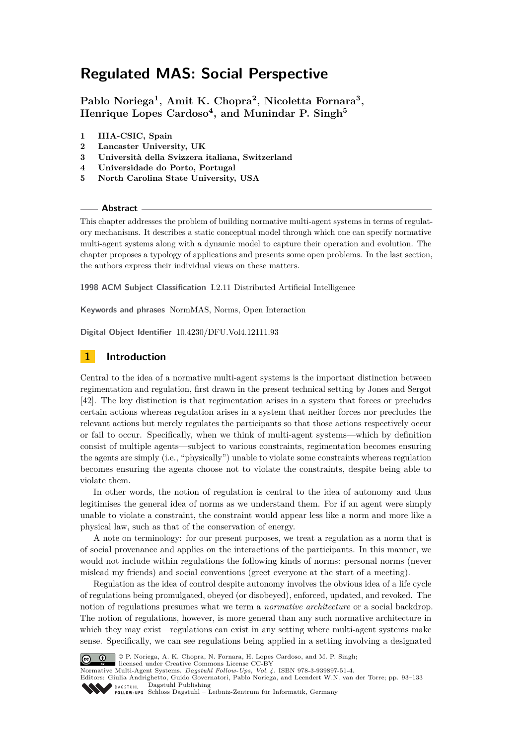**Pablo Noriega<sup>1</sup> , Amit K. Chopra<sup>2</sup> , Nicoletta Fornara<sup>3</sup> , Henrique Lopes Cardoso<sup>4</sup> , and Munindar P. Singh<sup>5</sup>**

- **1 IIIA-CSIC, Spain**
- **2 Lancaster University, UK**
- **3 Università della Svizzera italiana, Switzerland**
- **4 Universidade do Porto, Portugal**
- **5 North Carolina State University, USA**

**Abstract**

This chapter addresses the problem of building normative multi-agent systems in terms of regulatory mechanisms. It describes a static conceptual model through which one can specify normative multi-agent systems along with a dynamic model to capture their operation and evolution. The chapter proposes a typology of applications and presents some open problems. In the last section, the authors express their individual views on these matters.

**1998 ACM Subject Classification** I.2.11 Distributed Artificial Intelligence

**Keywords and phrases** NormMAS, Norms, Open Interaction

**Digital Object Identifier** [10.4230/DFU.Vol4.12111.93](http://dx.doi.org/10.4230/DFU.Vol4.12111.93)

# <span id="page-0-0"></span>**1 Introduction**

Central to the idea of a normative multi-agent systems is the important distinction between regimentation and regulation, first drawn in the present technical setting by Jones and Sergot [\[42\]](#page-37-0). The key distinction is that regimentation arises in a system that forces or precludes certain actions whereas regulation arises in a system that neither forces nor precludes the relevant actions but merely regulates the participants so that those actions respectively occur or fail to occur. Specifically, when we think of multi-agent systems—which by definition consist of multiple agents—subject to various constraints, regimentation becomes ensuring the agents are simply (i.e., "physically") unable to violate some constraints whereas regulation becomes ensuring the agents choose not to violate the constraints, despite being able to violate them.

In other words, the notion of regulation is central to the idea of autonomy and thus legitimises the general idea of norms as we understand them. For if an agent were simply unable to violate a constraint, the constraint would appear less like a norm and more like a physical law, such as that of the conservation of energy.

A note on terminology: for our present purposes, we treat a regulation as a norm that is of social provenance and applies on the interactions of the participants. In this manner, we would not include within regulations the following kinds of norms: personal norms (never mislead my friends) and social conventions (greet everyone at the start of a meeting).

Regulation as the idea of control despite autonomy involves the obvious idea of a life cycle of regulations being promulgated, obeyed (or disobeyed), enforced, updated, and revoked. The notion of regulations presumes what we term a *normative architecture* or a social backdrop. The notion of regulations, however, is more general than any such normative architecture in which they may exist—regulations can exist in any setting where multi-agent systems make sense. Specifically, we can see regulations being applied in a setting involving a designated



© P. Noriega, A. K. Chopra, N. Fornara, H. Lopes Cardoso, and M. P. Singh; licensed under Creative Commons License CC-BY

Normative Multi-Agent Systems. *[Dagstuhl Fol low-Ups, Vol. 4.](http://www.dagstuhl.de/dagpub/978-3-939897-51-4)* ISBN 978-3-939897-51-4.

Editors: Giulia Andrighetto, Guido Governatori, Pablo Noriega, and Leendert W.N. van der Torre; pp. 93[–133](#page-40-0) Dagstuhl Publishing

Schloss Dagstuhl – Leibniz-Zentrum für Informatik, Germany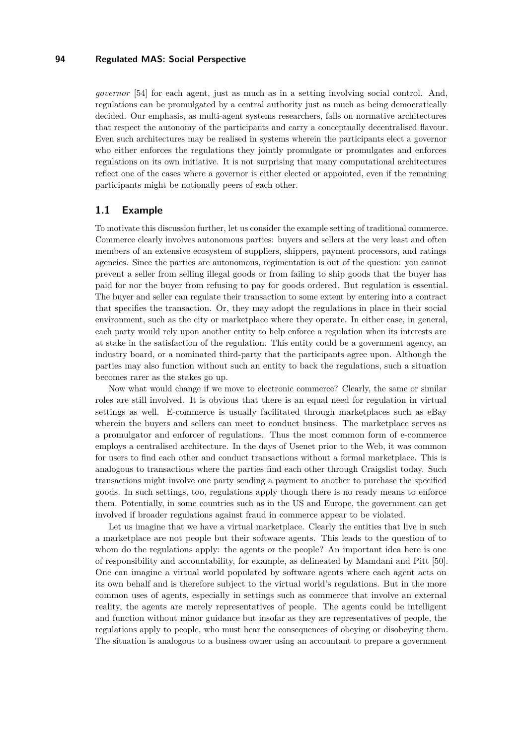*governor* [\[54\]](#page-38-0) for each agent, just as much as in a setting involving social control. And, regulations can be promulgated by a central authority just as much as being democratically decided. Our emphasis, as multi-agent systems researchers, falls on normative architectures that respect the autonomy of the participants and carry a conceptually decentralised flavour. Even such architectures may be realised in systems wherein the participants elect a governor who either enforces the regulations they jointly promulgate or promulgates and enforces regulations on its own initiative. It is not surprising that many computational architectures reflect one of the cases where a governor is either elected or appointed, even if the remaining participants might be notionally peers of each other.

### **1.1 Example**

To motivate this discussion further, let us consider the example setting of traditional commerce. Commerce clearly involves autonomous parties: buyers and sellers at the very least and often members of an extensive ecosystem of suppliers, shippers, payment processors, and ratings agencies. Since the parties are autonomous, regimentation is out of the question: you cannot prevent a seller from selling illegal goods or from failing to ship goods that the buyer has paid for nor the buyer from refusing to pay for goods ordered. But regulation is essential. The buyer and seller can regulate their transaction to some extent by entering into a contract that specifies the transaction. Or, they may adopt the regulations in place in their social environment, such as the city or marketplace where they operate. In either case, in general, each party would rely upon another entity to help enforce a regulation when its interests are at stake in the satisfaction of the regulation. This entity could be a government agency, an industry board, or a nominated third-party that the participants agree upon. Although the parties may also function without such an entity to back the regulations, such a situation becomes rarer as the stakes go up.

Now what would change if we move to electronic commerce? Clearly, the same or similar roles are still involved. It is obvious that there is an equal need for regulation in virtual settings as well. E-commerce is usually facilitated through marketplaces such as eBay wherein the buyers and sellers can meet to conduct business. The marketplace serves as a promulgator and enforcer of regulations. Thus the most common form of e-commerce employs a centralised architecture. In the days of Usenet prior to the Web, it was common for users to find each other and conduct transactions without a formal marketplace. This is analogous to transactions where the parties find each other through Craigslist today. Such transactions might involve one party sending a payment to another to purchase the specified goods. In such settings, too, regulations apply though there is no ready means to enforce them. Potentially, in some countries such as in the US and Europe, the government can get involved if broader regulations against fraud in commerce appear to be violated.

Let us imagine that we have a virtual marketplace. Clearly the entities that live in such a marketplace are not people but their software agents. This leads to the question of to whom do the regulations apply: the agents or the people? An important idea here is one of responsibility and accountability, for example, as delineated by Mamdani and Pitt [\[50\]](#page-38-1). One can imagine a virtual world populated by software agents where each agent acts on its own behalf and is therefore subject to the virtual world's regulations. But in the more common uses of agents, especially in settings such as commerce that involve an external reality, the agents are merely representatives of people. The agents could be intelligent and function without minor guidance but insofar as they are representatives of people, the regulations apply to people, who must bear the consequences of obeying or disobeying them. The situation is analogous to a business owner using an accountant to prepare a government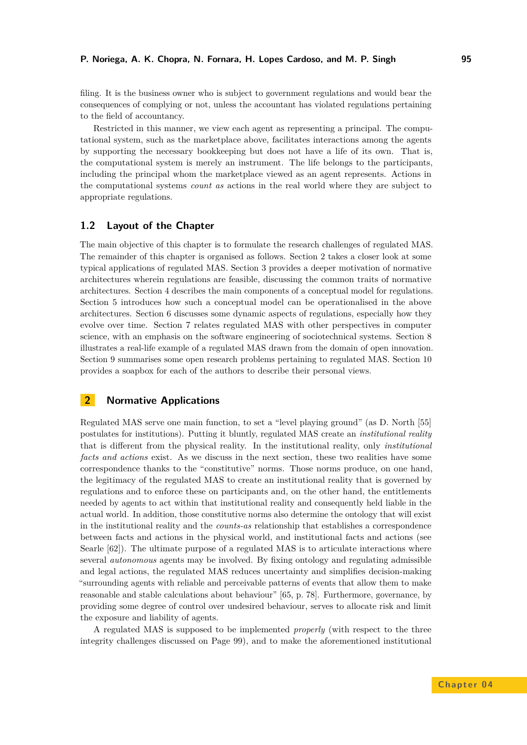filing. It is the business owner who is subject to government regulations and would bear the consequences of complying or not, unless the accountant has violated regulations pertaining to the field of accountancy.

Restricted in this manner, we view each agent as representing a principal. The computational system, such as the marketplace above, facilitates interactions among the agents by supporting the necessary bookkeeping but does not have a life of its own. That is, the computational system is merely an instrument. The life belongs to the participants, including the principal whom the marketplace viewed as an agent represents. Actions in the computational systems *count as* actions in the real world where they are subject to appropriate regulations.

### **1.2 Layout of the Chapter**

The main objective of this chapter is to formulate the research challenges of regulated MAS. The remainder of this chapter is organised as follows. Section [2](#page-2-0) takes a closer look at some typical applications of regulated MAS. Section [3](#page-5-0) provides a deeper motivation of normative architectures wherein regulations are feasible, discussing the common traits of normative architectures. Section [4](#page-7-0) describes the main components of a conceptual model for regulations. Section [5](#page-10-0) introduces how such a conceptual model can be operationalised in the above architectures. Section [6](#page-12-0) discusses some dynamic aspects of regulations, especially how they evolve over time. Section [7](#page-12-1) relates regulated MAS with other perspectives in computer science, with an emphasis on the software engineering of sociotechnical systems. Section [8](#page-15-0) illustrates a real-life example of a regulated MAS drawn from the domain of open innovation. Section [9](#page-17-0) summarises some open research problems pertaining to regulated MAS. Section [10](#page-25-0) provides a soapbox for each of the authors to describe their personal views.

# <span id="page-2-0"></span>**2 Normative Applications**

Regulated MAS serve one main function, to set a "level playing ground" (as D. North [\[55\]](#page-38-2) postulates for institutions). Putting it bluntly, regulated MAS create an *institutional reality* that is different from the physical reality. In the institutional reality, only *institutional facts and actions* exist. As we discuss in the next section, these two realities have some correspondence thanks to the "constitutive" norms. Those norms produce, on one hand, the legitimacy of the regulated MAS to create an institutional reality that is governed by regulations and to enforce these on participants and, on the other hand, the entitlements needed by agents to act within that institutional reality and consequently held liable in the actual world. In addition, those constitutive norms also determine the ontology that will exist in the institutional reality and the *counts-as* relationship that establishes a correspondence between facts and actions in the physical world, and institutional facts and actions (see Searle [\[62\]](#page-38-3)). The ultimate purpose of a regulated MAS is to articulate interactions where several *autonomous* agents may be involved. By fixing ontology and regulating admissible and legal actions, the regulated MAS reduces uncertainty and simplifies decision-making "surrounding agents with reliable and perceivable patterns of events that allow them to make reasonable and stable calculations about behaviour" [\[65,](#page-38-4) p. 78]. Furthermore, governance, by providing some degree of control over undesired behaviour, serves to allocate risk and limit the exposure and liability of agents.

A regulated MAS is supposed to be implemented *properly* (with respect to the three integrity challenges discussed on Page [99\)](#page-6-0), and to make the aforementioned institutional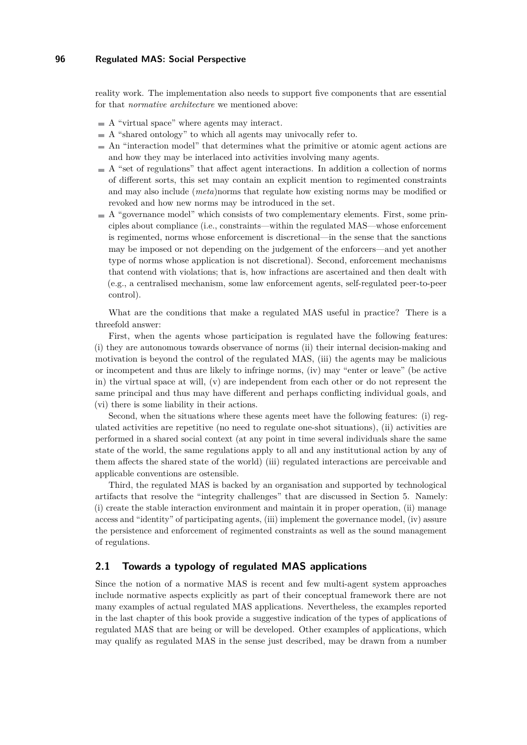reality work. The implementation also needs to support five components that are essential for that *normative architecture* we mentioned above:

- $\blacksquare$  A "virtual space" where agents may interact.
- $\blacksquare$  A "shared ontology" to which all agents may univocally refer to.
- An "interaction model" that determines what the primitive or atomic agent actions are and how they may be interlaced into activities involving many agents.
- $\blacksquare$  A "set of regulations" that affect agent interactions. In addition a collection of norms of different sorts, this set may contain an explicit mention to regimented constraints and may also include (*meta*)norms that regulate how existing norms may be modified or revoked and how new norms may be introduced in the set.
- $\blacksquare$  A "governance model" which consists of two complementary elements. First, some principles about compliance (i.e., constraints—within the regulated MAS—whose enforcement is regimented, norms whose enforcement is discretional—in the sense that the sanctions may be imposed or not depending on the judgement of the enforcers—and yet another type of norms whose application is not discretional). Second, enforcement mechanisms that contend with violations; that is, how infractions are ascertained and then dealt with (e.g., a centralised mechanism, some law enforcement agents, self-regulated peer-to-peer control).

What are the conditions that make a regulated MAS useful in practice? There is a threefold answer:

First, when the agents whose participation is regulated have the following features: (i) they are autonomous towards observance of norms (ii) their internal decision-making and motivation is beyond the control of the regulated MAS, (iii) the agents may be malicious or incompetent and thus are likely to infringe norms, (iv) may "enter or leave" (be active in) the virtual space at will, (v) are independent from each other or do not represent the same principal and thus may have different and perhaps conflicting individual goals, and (vi) there is some liability in their actions.

Second, when the situations where these agents meet have the following features: (i) regulated activities are repetitive (no need to regulate one-shot situations), (ii) activities are performed in a shared social context (at any point in time several individuals share the same state of the world, the same regulations apply to all and any institutional action by any of them affects the shared state of the world) (iii) regulated interactions are perceivable and applicable conventions are ostensible.

Third, the regulated MAS is backed by an organisation and supported by technological artifacts that resolve the "integrity challenges" that are discussed in Section [5.](#page-10-0) Namely: (i) create the stable interaction environment and maintain it in proper operation, (ii) manage access and "identity" of participating agents, (iii) implement the governance model, (iv) assure the persistence and enforcement of regimented constraints as well as the sound management of regulations.

# **2.1 Towards a typology of regulated MAS applications**

Since the notion of a normative MAS is recent and few multi-agent system approaches include normative aspects explicitly as part of their conceptual framework there are not many examples of actual regulated MAS applications. Nevertheless, the examples reported in the last chapter of this book provide a suggestive indication of the types of applications of regulated MAS that are being or will be developed. Other examples of applications, which may qualify as regulated MAS in the sense just described, may be drawn from a number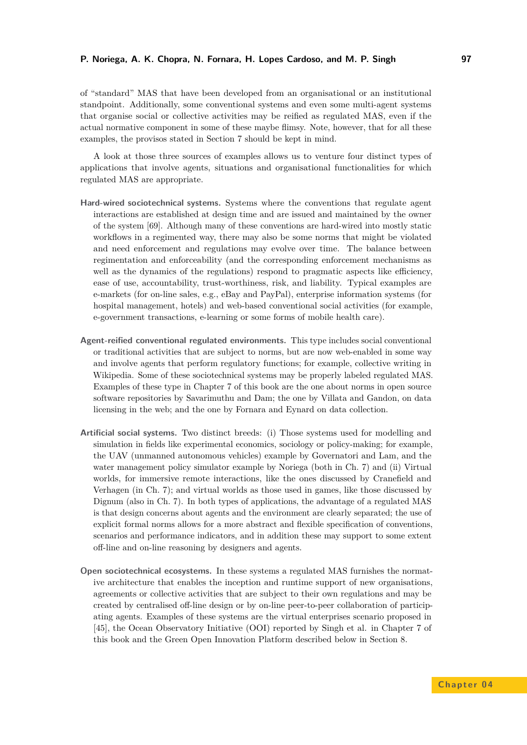#### **P. Noriega, A. K. Chopra, N. Fornara, H. Lopes Cardoso, and M. P. Singh 97**

of "standard" MAS that have been developed from an organisational or an institutional standpoint. Additionally, some conventional systems and even some multi-agent systems that organise social or collective activities may be reified as regulated MAS, even if the actual normative component in some of these maybe flimsy. Note, however, that for all these examples, the provisos stated in Section [7](#page-12-1) should be kept in mind.

A look at those three sources of examples allows us to venture four distinct types of applications that involve agents, situations and organisational functionalities for which regulated MAS are appropriate.

- **Hard-wired sociotechnical systems.** Systems where the conventions that regulate agent interactions are established at design time and are issued and maintained by the owner of the system [\[69\]](#page-39-0). Although many of these conventions are hard-wired into mostly static workflows in a regimented way, there may also be some norms that might be violated and need enforcement and regulations may evolve over time. The balance between regimentation and enforceability (and the corresponding enforcement mechanisms as well as the dynamics of the regulations) respond to pragmatic aspects like efficiency, ease of use, accountability, trust-worthiness, risk, and liability. Typical examples are e-markets (for on-line sales, e.g., eBay and PayPal), enterprise information systems (for hospital management, hotels) and web-based conventional social activities (for example, e-government transactions, e-learning or some forms of mobile health care).
- **Agent-reified conventional regulated environments.** This type includes social conventional or traditional activities that are subject to norms, but are now web-enabled in some way and involve agents that perform regulatory functions; for example, collective writing in Wikipedia. Some of these sociotechnical systems may be properly labeled regulated MAS. Examples of these type in Chapter 7 of this book are the one about norms in open source software repositories by Savarimuthu and Dam; the one by Villata and Gandon, on data licensing in the web; and the one by Fornara and Eynard on data collection.
- **Artificial social systems.** Two distinct breeds: (i) Those systems used for modelling and simulation in fields like experimental economics, sociology or policy-making; for example, the UAV (unmanned autonomous vehicles) example by Governatori and Lam, and the water management policy simulator example by Noriega (both in Ch. 7) and (ii) Virtual worlds, for immersive remote interactions, like the ones discussed by Cranefield and Verhagen (in Ch. 7); and virtual worlds as those used in games, like those discussed by Dignum (also in Ch. 7). In both types of applications, the advantage of a regulated MAS is that design concerns about agents and the environment are clearly separated; the use of explicit formal norms allows for a more abstract and flexible specification of conventions, scenarios and performance indicators, and in addition these may support to some extent off-line and on-line reasoning by designers and agents.
- **Open sociotechnical ecosystems.** In these systems a regulated MAS furnishes the normative architecture that enables the inception and runtime support of new organisations, agreements or collective activities that are subject to their own regulations and may be created by centralised off-line design or by on-line peer-to-peer collaboration of participating agents. Examples of these systems are the virtual enterprises scenario proposed in [\[45\]](#page-37-1), the Ocean Observatory Initiative (OOI) reported by Singh et al. in Chapter 7 of this book and the Green Open Innovation Platform described below in Section [8.](#page-15-0)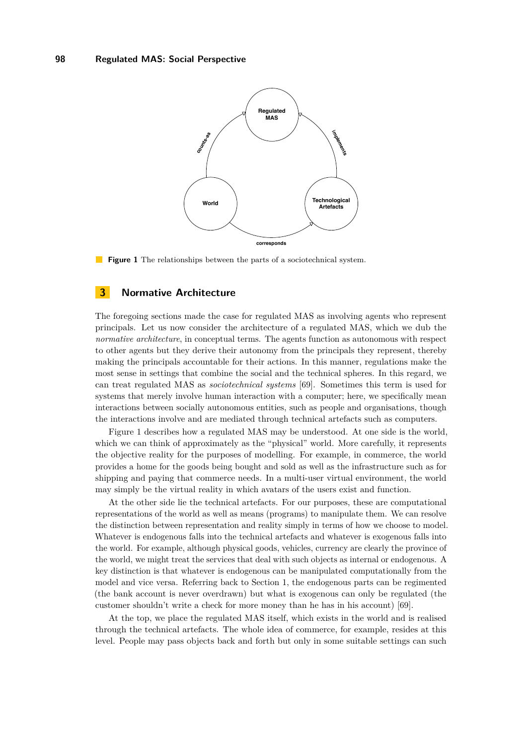<span id="page-5-1"></span>

**Figure 1** The relationships between the parts of a sociotechnical system.

# <span id="page-5-0"></span>**3 Normative Architecture**

The foregoing sections made the case for regulated MAS as involving agents who represent principals. Let us now consider the architecture of a regulated MAS, which we dub the *normative architecture*, in conceptual terms. The agents function as autonomous with respect to other agents but they derive their autonomy from the principals they represent, thereby making the principals accountable for their actions. In this manner, regulations make the most sense in settings that combine the social and the technical spheres. In this regard, we can treat regulated MAS as *sociotechnical systems* [\[69\]](#page-39-0). Sometimes this term is used for systems that merely involve human interaction with a computer; here, we specifically mean interactions between socially autonomous entities, such as people and organisations, though the interactions involve and are mediated through technical artefacts such as computers.

Figure [1](#page-5-1) describes how a regulated MAS may be understood. At one side is the world, which we can think of approximately as the "physical" world. More carefully, it represents the objective reality for the purposes of modelling. For example, in commerce, the world provides a home for the goods being bought and sold as well as the infrastructure such as for shipping and paying that commerce needs. In a multi-user virtual environment, the world may simply be the virtual reality in which avatars of the users exist and function.

At the other side lie the technical artefacts. For our purposes, these are computational representations of the world as well as means (programs) to manipulate them. We can resolve the distinction between representation and reality simply in terms of how we choose to model. Whatever is endogenous falls into the technical artefacts and whatever is exogenous falls into the world. For example, although physical goods, vehicles, currency are clearly the province of the world, we might treat the services that deal with such objects as internal or endogenous. A key distinction is that whatever is endogenous can be manipulated computationally from the model and vice versa. Referring back to Section [1,](#page-0-0) the endogenous parts can be regimented (the bank account is never overdrawn) but what is exogenous can only be regulated (the customer shouldn't write a check for more money than he has in his account) [\[69\]](#page-39-0).

At the top, we place the regulated MAS itself, which exists in the world and is realised through the technical artefacts. The whole idea of commerce, for example, resides at this level. People may pass objects back and forth but only in some suitable settings can such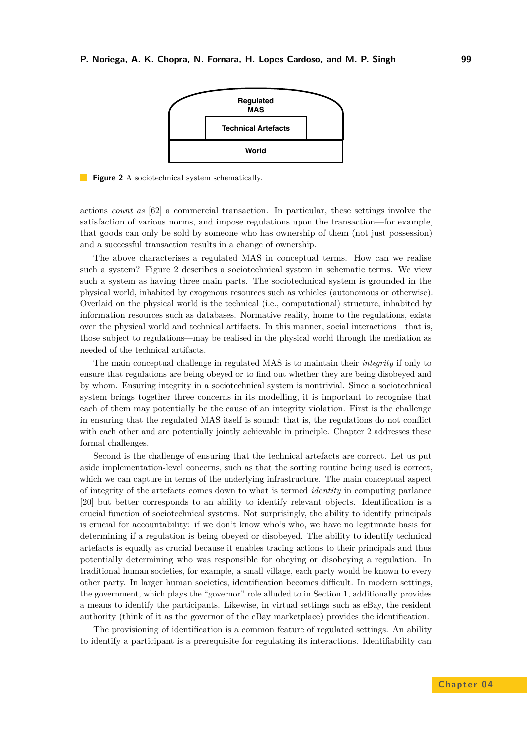<span id="page-6-0"></span>

**Figure 2** A sociotechnical system schematically.

actions *count as* [\[62\]](#page-38-3) a commercial transaction. In particular, these settings involve the satisfaction of various norms, and impose regulations upon the transaction—for example, that goods can only be sold by someone who has ownership of them (not just possession) and a successful transaction results in a change of ownership.

The above characterises a regulated MAS in conceptual terms. How can we realise such a system? Figure [2](#page-6-0) describes a sociotechnical system in schematic terms. We view such a system as having three main parts. The sociotechnical system is grounded in the physical world, inhabited by exogenous resources such as vehicles (autonomous or otherwise). Overlaid on the physical world is the technical (i.e., computational) structure, inhabited by information resources such as databases. Normative reality, home to the regulations, exists over the physical world and technical artifacts. In this manner, social interactions—that is, those subject to regulations—may be realised in the physical world through the mediation as needed of the technical artifacts.

The main conceptual challenge in regulated MAS is to maintain their *integrity* if only to ensure that regulations are being obeyed or to find out whether they are being disobeyed and by whom. Ensuring integrity in a sociotechnical system is nontrivial. Since a sociotechnical system brings together three concerns in its modelling, it is important to recognise that each of them may potentially be the cause of an integrity violation. First is the challenge in ensuring that the regulated MAS itself is sound: that is, the regulations do not conflict with each other and are potentially jointly achievable in principle. Chapter 2 addresses these formal challenges.

Second is the challenge of ensuring that the technical artefacts are correct. Let us put aside implementation-level concerns, such as that the sorting routine being used is correct, which we can capture in terms of the underlying infrastructure. The main conceptual aspect of integrity of the artefacts comes down to what is termed *identity* in computing parlance [\[20\]](#page-36-0) but better corresponds to an ability to identify relevant objects. Identification is a crucial function of sociotechnical systems. Not surprisingly, the ability to identify principals is crucial for accountability: if we don't know who's who, we have no legitimate basis for determining if a regulation is being obeyed or disobeyed. The ability to identify technical artefacts is equally as crucial because it enables tracing actions to their principals and thus potentially determining who was responsible for obeying or disobeying a regulation. In traditional human societies, for example, a small village, each party would be known to every other party. In larger human societies, identification becomes difficult. In modern settings, the government, which plays the "governor" role alluded to in Section [1,](#page-0-0) additionally provides a means to identify the participants. Likewise, in virtual settings such as eBay, the resident authority (think of it as the governor of the eBay marketplace) provides the identification.

The provisioning of identification is a common feature of regulated settings. An ability to identify a participant is a prerequisite for regulating its interactions. Identifiability can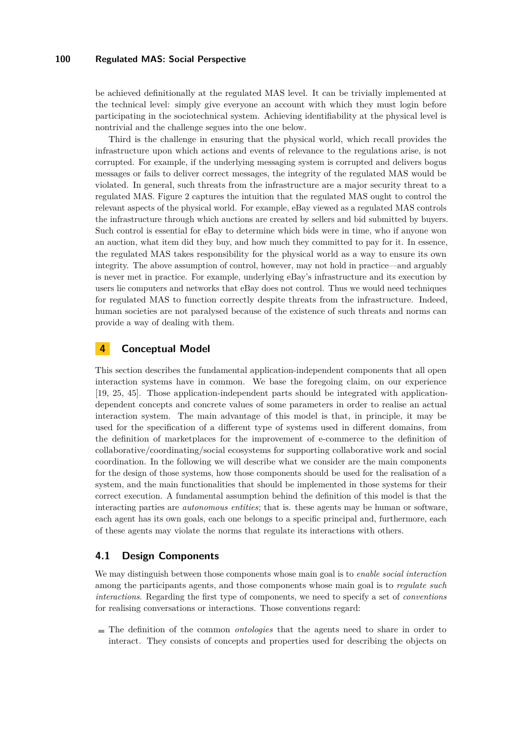be achieved definitionally at the regulated MAS level. It can be trivially implemented at the technical level: simply give everyone an account with which they must login before participating in the sociotechnical system. Achieving identifiability at the physical level is nontrivial and the challenge segues into the one below.

Third is the challenge in ensuring that the physical world, which recall provides the infrastructure upon which actions and events of relevance to the regulations arise, is not corrupted. For example, if the underlying messaging system is corrupted and delivers bogus messages or fails to deliver correct messages, the integrity of the regulated MAS would be violated. In general, such threats from the infrastructure are a major security threat to a regulated MAS. Figure [2](#page-6-0) captures the intuition that the regulated MAS ought to control the relevant aspects of the physical world. For example, eBay viewed as a regulated MAS controls the infrastructure through which auctions are created by sellers and bid submitted by buyers. Such control is essential for eBay to determine which bids were in time, who if anyone won an auction, what item did they buy, and how much they committed to pay for it. In essence, the regulated MAS takes responsibility for the physical world as a way to ensure its own integrity. The above assumption of control, however, may not hold in practice—and arguably is never met in practice. For example, underlying eBay's infrastructure and its execution by users lie computers and networks that eBay does not control. Thus we would need techniques for regulated MAS to function correctly despite threats from the infrastructure. Indeed, human societies are not paralysed because of the existence of such threats and norms can provide a way of dealing with them.

# <span id="page-7-0"></span>**4 Conceptual Model**

This section describes the fundamental application-independent components that all open interaction systems have in common. We base the foregoing claim, on our experience [\[19,](#page-36-1) [25,](#page-36-2) [45\]](#page-37-1). Those application-independent parts should be integrated with applicationdependent concepts and concrete values of some parameters in order to realise an actual interaction system. The main advantage of this model is that, in principle, it may be used for the specification of a different type of systems used in different domains, from the definition of marketplaces for the improvement of e-commerce to the definition of collaborative/coordinating/social ecosystems for supporting collaborative work and social coordination. In the following we will describe what we consider are the main components for the design of those systems, how those components should be used for the realisation of a system, and the main functionalities that should be implemented in those systems for their correct execution. A fundamental assumption behind the definition of this model is that the interacting parties are *autonomous entities*; that is. these agents may be human or software, each agent has its own goals, each one belongs to a specific principal and, furthermore, each of these agents may violate the norms that regulate its interactions with others.

### **4.1 Design Components**

We may distinguish between those components whose main goal is to *enable social interaction* among the participants agents, and those components whose main goal is to *regulate such interactions*. Regarding the first type of components, we need to specify a set of *conventions* for realising conversations or interactions. Those conventions regard:

The definition of the common *ontologies* that the agents need to share in order to interact. They consists of concepts and properties used for describing the objects on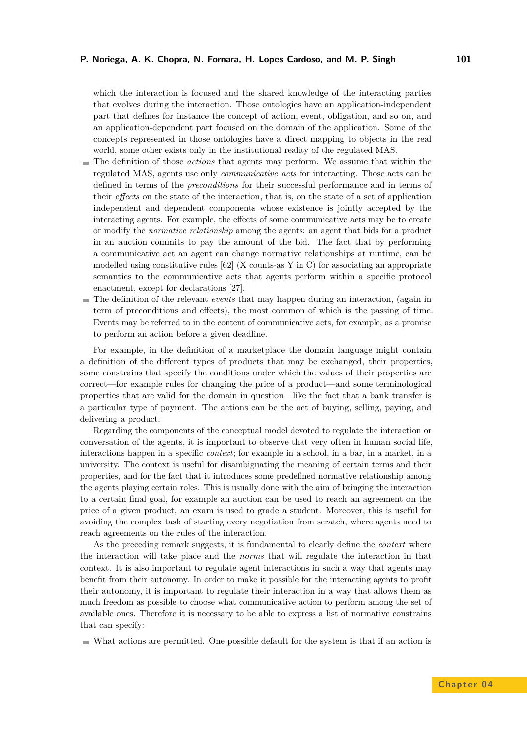which the interaction is focused and the shared knowledge of the interacting parties that evolves during the interaction. Those ontologies have an application-independent part that defines for instance the concept of action, event, obligation, and so on, and an application-dependent part focused on the domain of the application. Some of the concepts represented in those ontologies have a direct mapping to objects in the real world, some other exists only in the institutional reality of the regulated MAS.

- The definition of those *actions* that agents may perform. We assume that within the regulated MAS, agents use only *communicative acts* for interacting. Those acts can be defined in terms of the *preconditions* for their successful performance and in terms of their *effects* on the state of the interaction, that is, on the state of a set of application independent and dependent components whose existence is jointly accepted by the interacting agents. For example, the effects of some communicative acts may be to create or modify the *normative relationship* among the agents: an agent that bids for a product in an auction commits to pay the amount of the bid. The fact that by performing a communicative act an agent can change normative relationships at runtime, can be modelled using constitutive rules [\[62\]](#page-38-3) (X counts-as Y in C) for associating an appropriate semantics to the communicative acts that agents perform within a specific protocol enactment, except for declarations [\[27\]](#page-36-3).
- The definition of the relevant *events* that may happen during an interaction, (again in term of preconditions and effects), the most common of which is the passing of time. Events may be referred to in the content of communicative acts, for example, as a promise to perform an action before a given deadline.

For example, in the definition of a marketplace the domain language might contain a definition of the different types of products that may be exchanged, their properties, some constrains that specify the conditions under which the values of their properties are correct—for example rules for changing the price of a product—and some terminological properties that are valid for the domain in question—like the fact that a bank transfer is a particular type of payment. The actions can be the act of buying, selling, paying, and delivering a product.

Regarding the components of the conceptual model devoted to regulate the interaction or conversation of the agents, it is important to observe that very often in human social life, interactions happen in a specific *context*; for example in a school, in a bar, in a market, in a university. The context is useful for disambiguating the meaning of certain terms and their properties, and for the fact that it introduces some predefined normative relationship among the agents playing certain roles. This is usually done with the aim of bringing the interaction to a certain final goal, for example an auction can be used to reach an agreement on the price of a given product, an exam is used to grade a student. Moreover, this is useful for avoiding the complex task of starting every negotiation from scratch, where agents need to reach agreements on the rules of the interaction.

As the preceding remark suggests, it is fundamental to clearly define the *context* where the interaction will take place and the *norms* that will regulate the interaction in that context. It is also important to regulate agent interactions in such a way that agents may benefit from their autonomy. In order to make it possible for the interacting agents to profit their autonomy, it is important to regulate their interaction in a way that allows them as much freedom as possible to choose what communicative action to perform among the set of available ones. Therefore it is necessary to be able to express a list of normative constrains that can specify:

What actions are permitted. One possible default for the system is that if an action is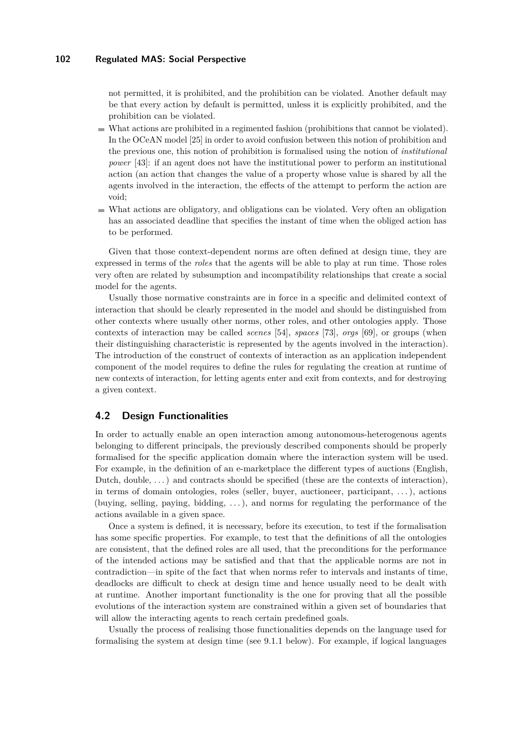not permitted, it is prohibited, and the prohibition can be violated. Another default may be that every action by default is permitted, unless it is explicitly prohibited, and the prohibition can be violated.

- What actions are prohibited in a regimented fashion (prohibitions that cannot be violated). In the OCeAN model [\[25\]](#page-36-2) in order to avoid confusion between this notion of prohibition and the previous one, this notion of prohibition is formalised using the notion of *institutional power* [\[43\]](#page-37-2): if an agent does not have the institutional power to perform an institutional action (an action that changes the value of a property whose value is shared by all the agents involved in the interaction, the effects of the attempt to perform the action are void;
- What actions are obligatory, and obligations can be violated. Very often an obligation has an associated deadline that specifies the instant of time when the obliged action has to be performed.

Given that those context-dependent norms are often defined at design time, they are expressed in terms of the *roles* that the agents will be able to play at run time. Those roles very often are related by subsumption and incompatibility relationships that create a social model for the agents.

Usually those normative constraints are in force in a specific and delimited context of interaction that should be clearly represented in the model and should be distinguished from other contexts where usually other norms, other roles, and other ontologies apply. Those contexts of interaction may be called *scenes* [\[54\]](#page-38-0), *spaces* [\[73\]](#page-39-1), *orgs* [\[69\]](#page-39-0), or groups (when their distinguishing characteristic is represented by the agents involved in the interaction). The introduction of the construct of contexts of interaction as an application independent component of the model requires to define the rules for regulating the creation at runtime of new contexts of interaction, for letting agents enter and exit from contexts, and for destroying a given context.

### **4.2 Design Functionalities**

In order to actually enable an open interaction among autonomous-heterogenous agents belonging to different principals, the previously described components should be properly formalised for the specific application domain where the interaction system will be used. For example, in the definition of an e-marketplace the different types of auctions (English, Dutch, double,  $\dots$ ) and contracts should be specified (these are the contexts of interaction), in terms of domain ontologies, roles (seller, buyer, auctioneer, participant, . . . ), actions (buying, selling, paying, bidding, . . . ), and norms for regulating the performance of the actions available in a given space.

Once a system is defined, it is necessary, before its execution, to test if the formalisation has some specific properties. For example, to test that the definitions of all the ontologies are consistent, that the defined roles are all used, that the preconditions for the performance of the intended actions may be satisfied and that that the applicable norms are not in contradiction—in spite of the fact that when norms refer to intervals and instants of time, deadlocks are difficult to check at design time and hence usually need to be dealt with at runtime. Another important functionality is the one for proving that all the possible evolutions of the interaction system are constrained within a given set of boundaries that will allow the interacting agents to reach certain predefined goals.

Usually the process of realising those functionalities depends on the language used for formalising the system at design time (see [9.1.1](#page-18-0) below). For example, if logical languages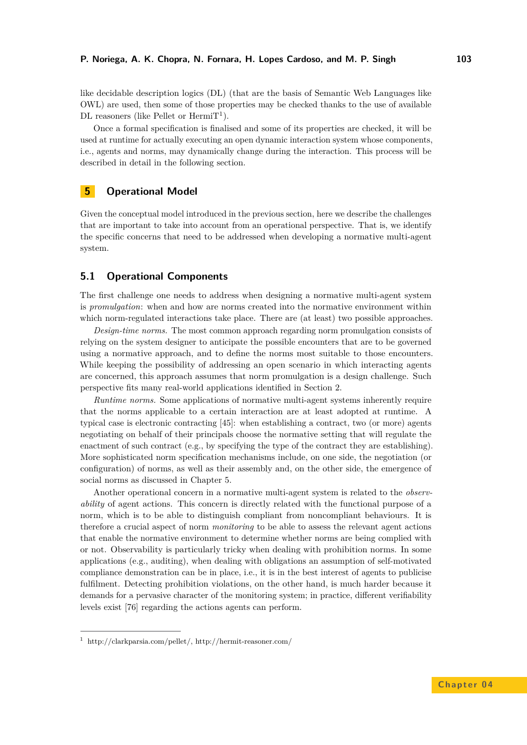like decidable description logics (DL) (that are the basis of Semantic Web Languages like OWL) are used, then some of those properties may be checked thanks to the use of available DL reasoners (like Pellet or  $\text{Hermi}T^1$ ).

Once a formal specification is finalised and some of its properties are checked, it will be used at runtime for actually executing an open dynamic interaction system whose components, i.e., agents and norms, may dynamically change during the interaction. This process will be described in detail in the following section.

# <span id="page-10-0"></span>**5 Operational Model**

Given the conceptual model introduced in the previous section, here we describe the challenges that are important to take into account from an operational perspective. That is, we identify the specific concerns that need to be addressed when developing a normative multi-agent system.

# <span id="page-10-1"></span>**5.1 Operational Components**

The first challenge one needs to address when designing a normative multi-agent system is *promulgation*: when and how are norms created into the normative environment within which norm-regulated interactions take place. There are (at least) two possible approaches.

*Design-time norms.* The most common approach regarding norm promulgation consists of relying on the system designer to anticipate the possible encounters that are to be governed using a normative approach, and to define the norms most suitable to those encounters. While keeping the possibility of addressing an open scenario in which interacting agents are concerned, this approach assumes that norm promulgation is a design challenge. Such perspective fits many real-world applications identified in Section [2.](#page-2-0)

*Runtime norms.* Some applications of normative multi-agent systems inherently require that the norms applicable to a certain interaction are at least adopted at runtime. A typical case is electronic contracting [\[45\]](#page-37-1): when establishing a contract, two (or more) agents negotiating on behalf of their principals choose the normative setting that will regulate the enactment of such contract (e.g., by specifying the type of the contract they are establishing). More sophisticated norm specification mechanisms include, on one side, the negotiation (or configuration) of norms, as well as their assembly and, on the other side, the emergence of social norms as discussed in Chapter 5.

Another operational concern in a normative multi-agent system is related to the *observability* of agent actions. This concern is directly related with the functional purpose of a norm, which is to be able to distinguish compliant from noncompliant behaviours. It is therefore a crucial aspect of norm *monitoring* to be able to assess the relevant agent actions that enable the normative environment to determine whether norms are being complied with or not. Observability is particularly tricky when dealing with prohibition norms. In some applications (e.g., auditing), when dealing with obligations an assumption of self-motivated compliance demonstration can be in place, i.e., it is in the best interest of agents to publicise fulfilment. Detecting prohibition violations, on the other hand, is much harder because it demands for a pervasive character of the monitoring system; in practice, different verifiability levels exist [\[76\]](#page-39-2) regarding the actions agents can perform.

<sup>1</sup> http://clarkparsia.com/pellet/, http://hermit-reasoner.com/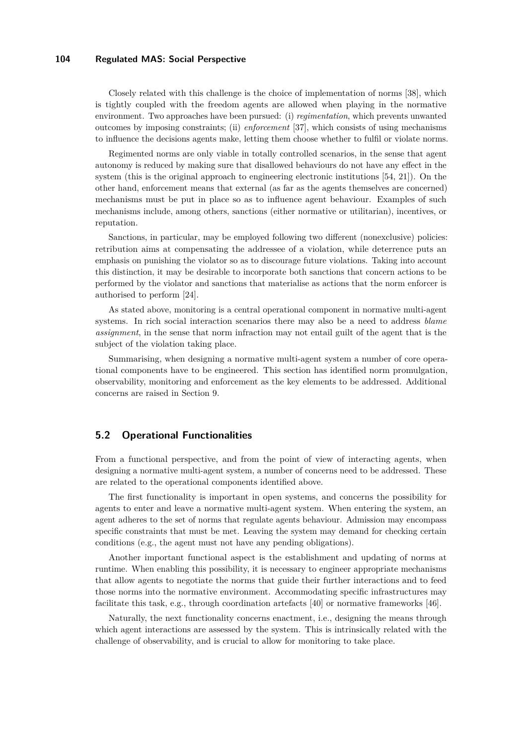Closely related with this challenge is the choice of implementation of norms [\[38\]](#page-37-3), which is tightly coupled with the freedom agents are allowed when playing in the normative environment. Two approaches have been pursued: (i) *regimentation*, which prevents unwanted outcomes by imposing constraints; (ii) *enforcement* [\[37\]](#page-37-4), which consists of using mechanisms to influence the decisions agents make, letting them choose whether to fulfil or violate norms.

Regimented norms are only viable in totally controlled scenarios, in the sense that agent autonomy is reduced by making sure that disallowed behaviours do not have any effect in the system (this is the original approach to engineering electronic institutions [\[54,](#page-38-0) [21\]](#page-36-4)). On the other hand, enforcement means that external (as far as the agents themselves are concerned) mechanisms must be put in place so as to influence agent behaviour. Examples of such mechanisms include, among others, sanctions (either normative or utilitarian), incentives, or reputation.

Sanctions, in particular, may be employed following two different (nonexclusive) policies: retribution aims at compensating the addressee of a violation, while deterrence puts an emphasis on punishing the violator so as to discourage future violations. Taking into account this distinction, it may be desirable to incorporate both sanctions that concern actions to be performed by the violator and sanctions that materialise as actions that the norm enforcer is authorised to perform [\[24\]](#page-36-5).

As stated above, monitoring is a central operational component in normative multi-agent systems. In rich social interaction scenarios there may also be a need to address *blame assignment*, in the sense that norm infraction may not entail guilt of the agent that is the subject of the violation taking place.

Summarising, when designing a normative multi-agent system a number of core operational components have to be engineered. This section has identified norm promulgation, observability, monitoring and enforcement as the key elements to be addressed. Additional concerns are raised in Section [9.](#page-17-0)

### **5.2 Operational Functionalities**

From a functional perspective, and from the point of view of interacting agents, when designing a normative multi-agent system, a number of concerns need to be addressed. These are related to the operational components identified above.

The first functionality is important in open systems, and concerns the possibility for agents to enter and leave a normative multi-agent system. When entering the system, an agent adheres to the set of norms that regulate agents behaviour. Admission may encompass specific constraints that must be met. Leaving the system may demand for checking certain conditions (e.g., the agent must not have any pending obligations).

Another important functional aspect is the establishment and updating of norms at runtime. When enabling this possibility, it is necessary to engineer appropriate mechanisms that allow agents to negotiate the norms that guide their further interactions and to feed those norms into the normative environment. Accommodating specific infrastructures may facilitate this task, e.g., through coordination artefacts [\[40\]](#page-37-5) or normative frameworks [\[46\]](#page-37-6).

Naturally, the next functionality concerns enactment, i.e., designing the means through which agent interactions are assessed by the system. This is intrinsically related with the challenge of observability, and is crucial to allow for monitoring to take place.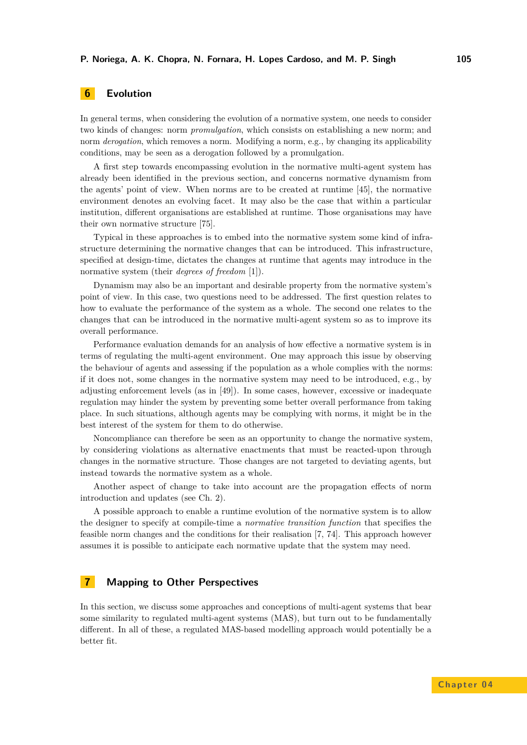# <span id="page-12-0"></span>**6 Evolution**

In general terms, when considering the evolution of a normative system, one needs to consider two kinds of changes: norm *promulgation*, which consists on establishing a new norm; and norm *derogation*, which removes a norm. Modifying a norm, e.g., by changing its applicability conditions, may be seen as a derogation followed by a promulgation.

A first step towards encompassing evolution in the normative multi-agent system has already been identified in the previous section, and concerns normative dynamism from the agents' point of view. When norms are to be created at runtime [\[45\]](#page-37-1), the normative environment denotes an evolving facet. It may also be the case that within a particular institution, different organisations are established at runtime. Those organisations may have their own normative structure [\[75\]](#page-39-3).

Typical in these approaches is to embed into the normative system some kind of infrastructure determining the normative changes that can be introduced. This infrastructure, specified at design-time, dictates the changes at runtime that agents may introduce in the normative system (their *degrees of freedom* [\[1\]](#page-34-0)).

Dynamism may also be an important and desirable property from the normative system's point of view. In this case, two questions need to be addressed. The first question relates to how to evaluate the performance of the system as a whole. The second one relates to the changes that can be introduced in the normative multi-agent system so as to improve its overall performance.

Performance evaluation demands for an analysis of how effective a normative system is in terms of regulating the multi-agent environment. One may approach this issue by observing the behaviour of agents and assessing if the population as a whole complies with the norms: if it does not, some changes in the normative system may need to be introduced, e.g., by adjusting enforcement levels (as in [\[49\]](#page-38-5)). In some cases, however, excessive or inadequate regulation may hinder the system by preventing some better overall performance from taking place. In such situations, although agents may be complying with norms, it might be in the best interest of the system for them to do otherwise.

Noncompliance can therefore be seen as an opportunity to change the normative system, by considering violations as alternative enactments that must be reacted-upon through changes in the normative structure. Those changes are not targeted to deviating agents, but instead towards the normative system as a whole.

Another aspect of change to take into account are the propagation effects of norm introduction and updates (see Ch. 2).

A possible approach to enable a runtime evolution of the normative system is to allow the designer to specify at compile-time a *normative transition function* that specifies the feasible norm changes and the conditions for their realisation [\[7,](#page-35-0) [74\]](#page-39-4). This approach however assumes it is possible to anticipate each normative update that the system may need.

# <span id="page-12-1"></span>**7 Mapping to Other Perspectives**

In this section, we discuss some approaches and conceptions of multi-agent systems that bear some similarity to regulated multi-agent systems (MAS), but turn out to be fundamentally different. In all of these, a regulated MAS-based modelling approach would potentially be a better fit.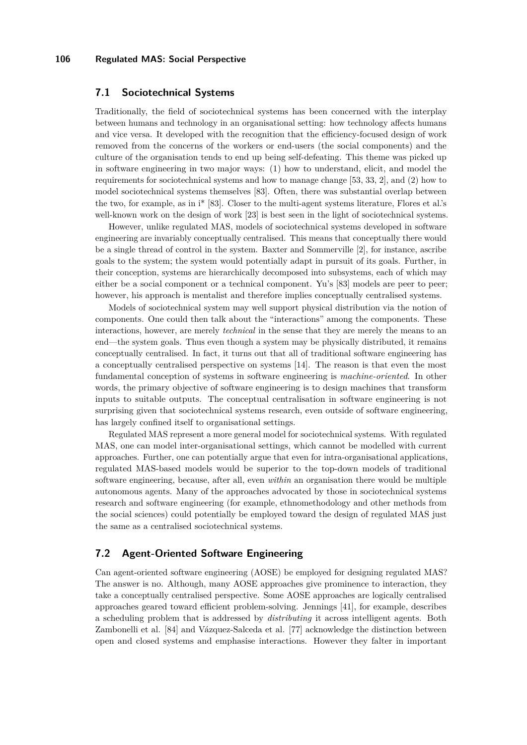### **7.1 Sociotechnical Systems**

Traditionally, the field of sociotechnical systems has been concerned with the interplay between humans and technology in an organisational setting: how technology affects humans and vice versa. It developed with the recognition that the efficiency-focused design of work removed from the concerns of the workers or end-users (the social components) and the culture of the organisation tends to end up being self-defeating. This theme was picked up in software engineering in two major ways: (1) how to understand, elicit, and model the requirements for sociotechnical systems and how to manage change [\[53,](#page-38-6) [33,](#page-37-7) [2\]](#page-35-1), and (2) how to model sociotechnical systems themselves [\[83\]](#page-40-1). Often, there was substantial overlap between the two, for example, as in i\* [\[83\]](#page-40-1). Closer to the multi-agent systems literature, Flores et al.'s well-known work on the design of work [\[23\]](#page-36-6) is best seen in the light of sociotechnical systems.

However, unlike regulated MAS, models of sociotechnical systems developed in software engineering are invariably conceptually centralised. This means that conceptually there would be a single thread of control in the system. Baxter and Sommerville [\[2\]](#page-35-1), for instance, ascribe goals to the system; the system would potentially adapt in pursuit of its goals. Further, in their conception, systems are hierarchically decomposed into subsystems, each of which may either be a social component or a technical component. Yu's [\[83\]](#page-40-1) models are peer to peer; however, his approach is mentalist and therefore implies conceptually centralised systems.

Models of sociotechnical system may well support physical distribution via the notion of components. One could then talk about the "interactions" among the components. These interactions, however, are merely *technical* in the sense that they are merely the means to an end—the system goals. Thus even though a system may be physically distributed, it remains conceptually centralised. In fact, it turns out that all of traditional software engineering has a conceptually centralised perspective on systems [\[14\]](#page-35-2). The reason is that even the most fundamental conception of systems in software engineering is *machine-oriented*. In other words, the primary objective of software engineering is to design machines that transform inputs to suitable outputs. The conceptual centralisation in software engineering is not surprising given that sociotechnical systems research, even outside of software engineering, has largely confined itself to organisational settings.

Regulated MAS represent a more general model for sociotechnical systems. With regulated MAS, one can model inter-organisational settings, which cannot be modelled with current approaches. Further, one can potentially argue that even for intra-organisational applications, regulated MAS-based models would be superior to the top-down models of traditional software engineering, because, after all, even *within* an organisation there would be multiple autonomous agents. Many of the approaches advocated by those in sociotechnical systems research and software engineering (for example, ethnomethodology and other methods from the social sciences) could potentially be employed toward the design of regulated MAS just the same as a centralised sociotechnical systems.

### **7.2 Agent-Oriented Software Engineering**

Can agent-oriented software engineering (AOSE) be employed for designing regulated MAS? The answer is no. Although, many AOSE approaches give prominence to interaction, they take a conceptually centralised perspective. Some AOSE approaches are logically centralised approaches geared toward efficient problem-solving. Jennings [\[41\]](#page-37-8), for example, describes a scheduling problem that is addressed by *distributing* it across intelligent agents. Both Zambonelli et al. [\[84\]](#page-40-2) and Vázquez-Salceda et al. [\[77\]](#page-39-5) acknowledge the distinction between open and closed systems and emphasise interactions. However they falter in important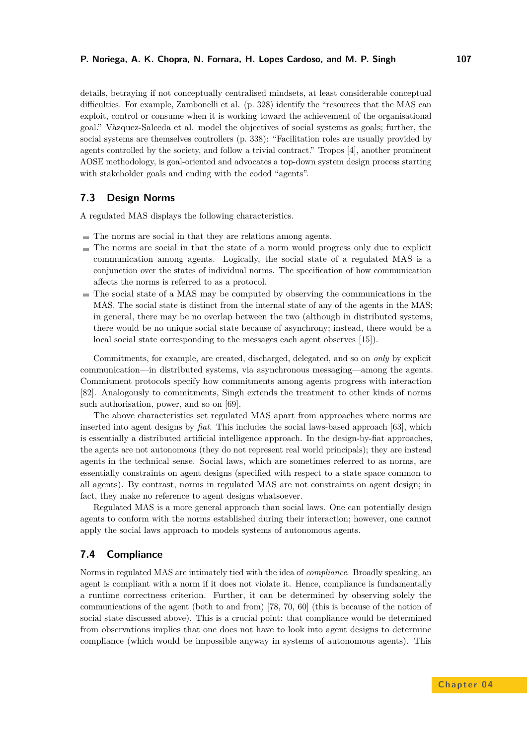details, betraying if not conceptually centralised mindsets, at least considerable conceptual difficulties. For example, Zambonelli et al. (p. 328) identify the "resources that the MAS can exploit, control or consume when it is working toward the achievement of the organisational goal." Vàzquez-Salceda et al. model the objectives of social systems as goals; further, the social systems are themselves controllers (p. 338): "Facilitation roles are usually provided by agents controlled by the society, and follow a trivial contract." Tropos [\[4\]](#page-35-3), another prominent AOSE methodology, is goal-oriented and advocates a top-down system design process starting with stakeholder goals and ending with the coded "agents".

# <span id="page-14-0"></span>**7.3 Design Norms**

A regulated MAS displays the following characteristics.

- The norms are social in that they are relations among agents.
- $\blacksquare$  The norms are social in that the state of a norm would progress only due to explicit communication among agents. Logically, the social state of a regulated MAS is a conjunction over the states of individual norms. The specification of how communication affects the norms is referred to as a protocol.
- The social state of a MAS may be computed by observing the communications in the MAS. The social state is distinct from the internal state of any of the agents in the MAS; in general, there may be no overlap between the two (although in distributed systems, there would be no unique social state because of asynchrony; instead, there would be a local social state corresponding to the messages each agent observes [\[15\]](#page-35-4)).

Commitments, for example, are created, discharged, delegated, and so on *only* by explicit communication—in distributed systems, via asynchronous messaging—among the agents. Commitment protocols specify how commitments among agents progress with interaction [\[82\]](#page-39-6). Analogously to commitments, Singh extends the treatment to other kinds of norms such authorisation, power, and so on [\[69\]](#page-39-0).

The above characteristics set regulated MAS apart from approaches where norms are inserted into agent designs by *fiat*. This includes the social laws-based approach [\[63\]](#page-38-7), which is essentially a distributed artificial intelligence approach. In the design-by-fiat approaches, the agents are not autonomous (they do not represent real world principals); they are instead agents in the technical sense. Social laws, which are sometimes referred to as norms, are essentially constraints on agent designs (specified with respect to a state space common to all agents). By contrast, norms in regulated MAS are not constraints on agent design; in fact, they make no reference to agent designs whatsoever.

Regulated MAS is a more general approach than social laws. One can potentially design agents to conform with the norms established during their interaction; however, one cannot apply the social laws approach to models systems of autonomous agents.

### <span id="page-14-1"></span>**7.4 Compliance**

Norms in regulated MAS are intimately tied with the idea of *compliance*. Broadly speaking, an agent is compliant with a norm if it does not violate it. Hence, compliance is fundamentally a runtime correctness criterion. Further, it can be determined by observing solely the communications of the agent (both to and from) [\[78,](#page-39-7) [70,](#page-39-8) [60\]](#page-38-8) (this is because of the notion of social state discussed above). This is a crucial point: that compliance would be determined from observations implies that one does not have to look into agent designs to determine compliance (which would be impossible anyway in systems of autonomous agents). This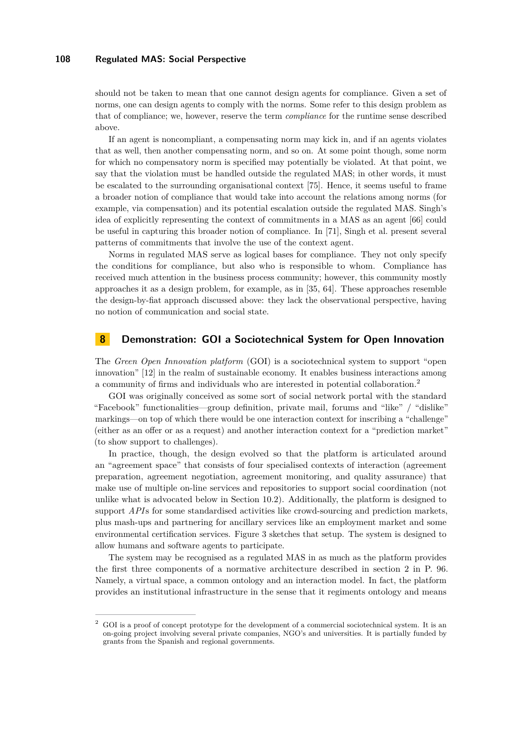should not be taken to mean that one cannot design agents for compliance. Given a set of norms, one can design agents to comply with the norms. Some refer to this design problem as that of compliance; we, however, reserve the term *compliance* for the runtime sense described above.

If an agent is noncompliant, a compensating norm may kick in, and if an agents violates that as well, then another compensating norm, and so on. At some point though, some norm for which no compensatory norm is specified may potentially be violated. At that point, we say that the violation must be handled outside the regulated MAS; in other words, it must be escalated to the surrounding organisational context [\[75\]](#page-39-3). Hence, it seems useful to frame a broader notion of compliance that would take into account the relations among norms (for example, via compensation) and its potential escalation outside the regulated MAS. Singh's idea of explicitly representing the context of commitments in a MAS as an agent [\[66\]](#page-39-9) could be useful in capturing this broader notion of compliance. In [\[71\]](#page-39-10), Singh et al. present several patterns of commitments that involve the use of the context agent.

Norms in regulated MAS serve as logical bases for compliance. They not only specify the conditions for compliance, but also who is responsible to whom. Compliance has received much attention in the business process community; however, this community mostly approaches it as a design problem, for example, as in [\[35,](#page-37-9) [64\]](#page-38-9). These approaches resemble the design-by-fiat approach discussed above: they lack the observational perspective, having no notion of communication and social state.

# <span id="page-15-0"></span>**8 Demonstration: GOI a Sociotechnical System for Open Innovation**

The *Green Open Innovation platform* (GOI) is a sociotechnical system to support "open innovation" [\[12\]](#page-35-5) in the realm of sustainable economy. It enables business interactions among a community of firms and individuals who are interested in potential collaboration.<sup>2</sup>

GOI was originally conceived as some sort of social network portal with the standard "Facebook" functionalities—group definition, private mail, forums and "like" / "dislike" markings—on top of which there would be one interaction context for inscribing a "challenge" (either as an offer or as a request) and another interaction context for a "prediction market" (to show support to challenges).

In practice, though, the design evolved so that the platform is articulated around an "agreement space" that consists of four specialised contexts of interaction (agreement preparation, agreement negotiation, agreement monitoring, and quality assurance) that make use of multiple on-line services and repositories to support social coordination (not unlike what is advocated below in Section [10.2\)](#page-27-0). Additionally, the platform is designed to support *API*s for some standardised activities like crowd-sourcing and prediction markets, plus mash-ups and partnering for ancillary services like an employment market and some environmental certification services. Figure [3](#page-16-0) sketches that setup. The system is designed to allow humans and software agents to participate.

The system may be recognised as a regulated MAS in as much as the platform provides the first three components of a normative architecture described in section [2](#page-2-0) in P. [96.](#page-2-0) Namely, a virtual space, a common ontology and an interaction model. In fact, the platform provides an institutional infrastructure in the sense that it regiments ontology and means

<sup>2</sup> GOI is a proof of concept prototype for the development of a commercial sociotechnical system. It is an on-going project involving several private companies, NGO's and universities. It is partially funded by grants from the Spanish and regional governments.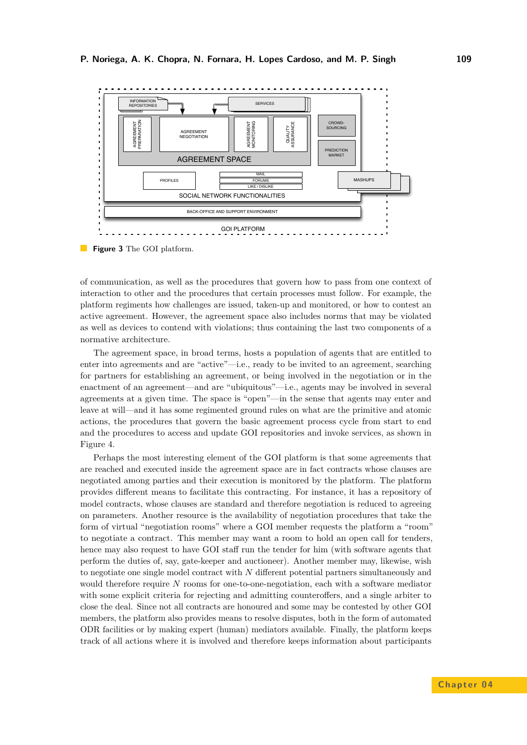<span id="page-16-0"></span>

**Figure 3** The GOI platform.

of communication, as well as the procedures that govern how to pass from one context of interaction to other and the procedures that certain processes must follow. For example, the platform regiments how challenges are issued, taken-up and monitored, or how to contest an active agreement. However, the agreement space also includes norms that may be violated as well as devices to contend with violations; thus containing the last two components of a normative architecture.

The agreement space, in broad terms, hosts a population of agents that are entitled to enter into agreements and are "active"—i.e., ready to be invited to an agreement, searching for partners for establishing an agreement, or being involved in the negotiation or in the enactment of an agreement—and are "ubiquitous"—i.e., agents may be involved in several agreements at a given time. The space is "open"—in the sense that agents may enter and leave at will—and it has some regimented ground rules on what are the primitive and atomic actions, the procedures that govern the basic agreement process cycle from start to end and the procedures to access and update GOI repositories and invoke services, as shown in Figure [4.](#page-17-1)

Perhaps the most interesting element of the GOI platform is that some agreements that are reached and executed inside the agreement space are in fact contracts whose clauses are negotiated among parties and their execution is monitored by the platform. The platform provides different means to facilitate this contracting. For instance, it has a repository of model contracts, whose clauses are standard and therefore negotiation is reduced to agreeing on parameters. Another resource is the availability of negotiation procedures that take the form of virtual "negotiation rooms" where a GOI member requests the platform a "room" to negotiate a contract. This member may want a room to hold an open call for tenders, hence may also request to have GOI staff run the tender for him (with software agents that perform the duties of, say, gate-keeper and auctioneer). Another member may, likewise, wish to negotiate one single model contract with *N* different potential partners simultaneously and would therefore require *N* rooms for one-to-one-negotiation, each with a software mediator with some explicit criteria for rejecting and admitting counteroffers, and a single arbiter to close the deal. Since not all contracts are honoured and some may be contested by other GOI members, the platform also provides means to resolve disputes, both in the form of automated ODR facilities or by making expert (human) mediators available. Finally, the platform keeps track of all actions where it is involved and therefore keeps information about participants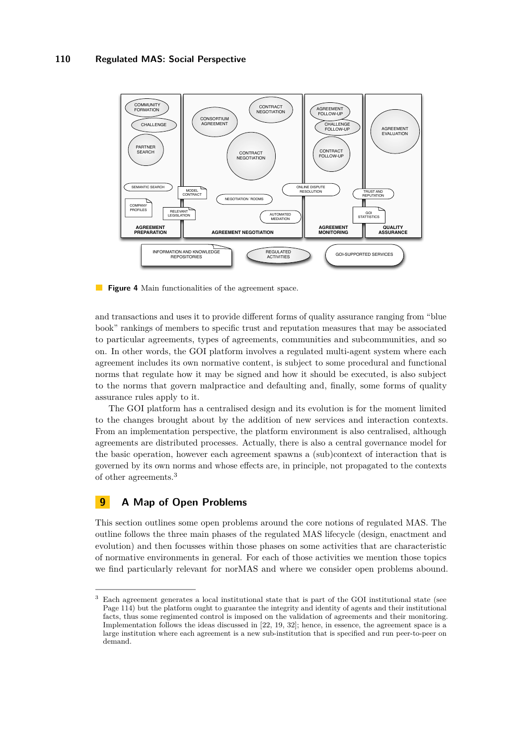<span id="page-17-1"></span>

**Figure 4** Main functionalities of the agreement space.

and transactions and uses it to provide different forms of quality assurance ranging from "blue book" rankings of members to specific trust and reputation measures that may be associated to particular agreements, types of agreements, communities and subcommunities, and so on. In other words, the GOI platform involves a regulated multi-agent system where each agreement includes its own normative content, is subject to some procedural and functional norms that regulate how it may be signed and how it should be executed, is also subject to the norms that govern malpractice and defaulting and, finally, some forms of quality assurance rules apply to it.

The GOI platform has a centralised design and its evolution is for the moment limited to the changes brought about by the addition of new services and interaction contexts. From an implementation perspective, the platform environment is also centralised, although agreements are distributed processes. Actually, there is also a central governance model for the basic operation, however each agreement spawns a (sub)context of interaction that is governed by its own norms and whose effects are, in principle, not propagated to the contexts of other agreements.<sup>3</sup>

### <span id="page-17-0"></span>**9 A Map of Open Problems**

This section outlines some open problems around the core notions of regulated MAS. The outline follows the three main phases of the regulated MAS lifecycle (design, enactment and evolution) and then focusses within those phases on some activities that are characteristic of normative environments in general. For each of those activities we mention those topics we find particularly relevant for norMAS and where we consider open problems abound.

<sup>3</sup> Each agreement generates a local institutional state that is part of the GOI institutional state (see Page [114\)](#page-21-0) but the platform ought to guarantee the integrity and identity of agents and their institutional facts, thus some regimented control is imposed on the validation of agreements and their monitoring. Implementation follows the ideas discussed in [\[22,](#page-36-7) [19,](#page-36-1) [32\]](#page-36-8); hence, in essence, the agreement space is a large institution where each agreement is a new sub-institution that is specified and run peer-to-peer on demand.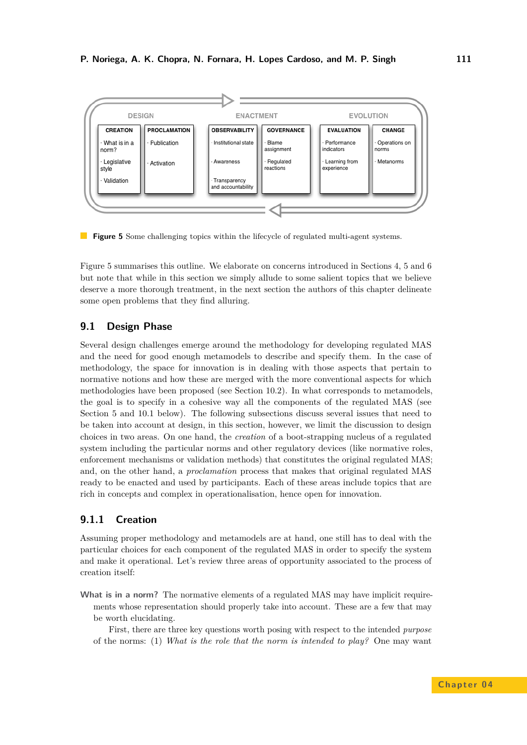<span id="page-18-1"></span>

**Figure 5** Some challenging topics within the lifecycle of regulated multi-agent systems.

Figure [5](#page-18-1) summarises this outline. We elaborate on concerns introduced in Sections [4,](#page-7-0) [5](#page-10-0) and [6](#page-12-0) but note that while in this section we simply allude to some salient topics that we believe deserve a more thorough treatment, in the next section the authors of this chapter delineate some open problems that they find alluring.

# **9.1 Design Phase**

Several design challenges emerge around the methodology for developing regulated MAS and the need for good enough metamodels to describe and specify them. In the case of methodology, the space for innovation is in dealing with those aspects that pertain to normative notions and how these are merged with the more conventional aspects for which methodologies have been proposed (see Section [10.2\)](#page-27-0). In what corresponds to metamodels, the goal is to specify in a cohesive way all the components of the regulated MAS (see Section [5](#page-10-0) and [10.1](#page-25-1) below). The following subsections discuss several issues that need to be taken into account at design, in this section, however, we limit the discussion to design choices in two areas. On one hand, the *creation* of a boot-strapping nucleus of a regulated system including the particular norms and other regulatory devices (like normative roles, enforcement mechanisms or validation methods) that constitutes the original regulated MAS; and, on the other hand, a *proclamation* process that makes that original regulated MAS ready to be enacted and used by participants. Each of these areas include topics that are rich in concepts and complex in operationalisation, hence open for innovation.

# <span id="page-18-0"></span>**9.1.1 Creation**

Assuming proper methodology and metamodels are at hand, one still has to deal with the particular choices for each component of the regulated MAS in order to specify the system and make it operational. Let's review three areas of opportunity associated to the process of creation itself:

**What is in a norm?** The normative elements of a regulated MAS may have implicit requirements whose representation should properly take into account. These are a few that may be worth elucidating.

First, there are three key questions worth posing with respect to the intended *purpose* of the norms: (1) *What is the role that the norm is intended to play?* One may want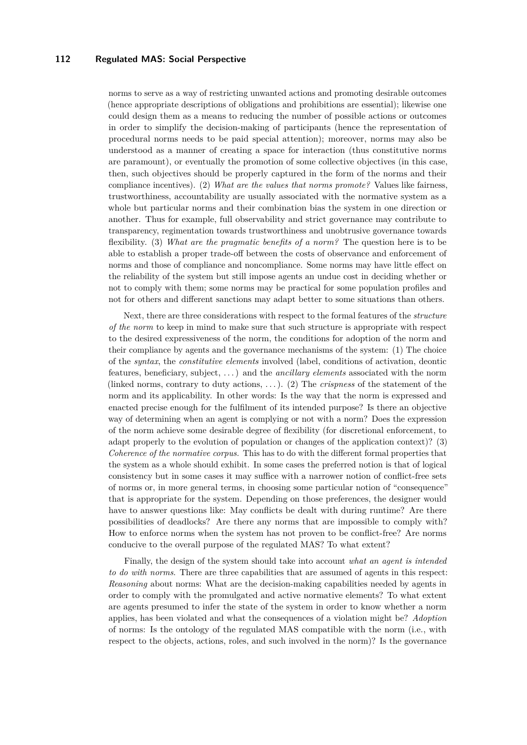norms to serve as a way of restricting unwanted actions and promoting desirable outcomes (hence appropriate descriptions of obligations and prohibitions are essential); likewise one could design them as a means to reducing the number of possible actions or outcomes in order to simplify the decision-making of participants (hence the representation of procedural norms needs to be paid special attention); moreover, norms may also be understood as a manner of creating a space for interaction (thus constitutive norms are paramount), or eventually the promotion of some collective objectives (in this case, then, such objectives should be properly captured in the form of the norms and their compliance incentives). (2) *What are the values that norms promote?* Values like fairness, trustworthiness, accountability are usually associated with the normative system as a whole but particular norms and their combination bias the system in one direction or another. Thus for example, full observability and strict governance may contribute to transparency, regimentation towards trustworthiness and unobtrusive governance towards flexibility. (3) *What are the pragmatic benefits of a norm?* The question here is to be able to establish a proper trade-off between the costs of observance and enforcement of norms and those of compliance and noncompliance. Some norms may have little effect on the reliability of the system but still impose agents an undue cost in deciding whether or not to comply with them; some norms may be practical for some population profiles and not for others and different sanctions may adapt better to some situations than others.

Next, there are three considerations with respect to the formal features of the *structure of the norm* to keep in mind to make sure that such structure is appropriate with respect to the desired expressiveness of the norm, the conditions for adoption of the norm and their compliance by agents and the governance mechanisms of the system: (1) The choice of the *syntax*, the *constitutive elements* involved (label, conditions of activation, deontic features, beneficiary, subject, . . . ) and the *ancillary elements* associated with the norm (linked norms, contrary to duty actions, . . . ). (2) The *crispness* of the statement of the norm and its applicability. In other words: Is the way that the norm is expressed and enacted precise enough for the fulfilment of its intended purpose? Is there an objective way of determining when an agent is complying or not with a norm? Does the expression of the norm achieve some desirable degree of flexibility (for discretional enforcement, to adapt properly to the evolution of population or changes of the application context)? (3) *Coherence of the normative corpus.* This has to do with the different formal properties that the system as a whole should exhibit. In some cases the preferred notion is that of logical consistency but in some cases it may suffice with a narrower notion of conflict-free sets of norms or, in more general terms, in choosing some particular notion of "consequence" that is appropriate for the system. Depending on those preferences, the designer would have to answer questions like: May conflicts be dealt with during runtime? Are there possibilities of deadlocks? Are there any norms that are impossible to comply with? How to enforce norms when the system has not proven to be conflict-free? Are norms conducive to the overall purpose of the regulated MAS? To what extent?

Finally, the design of the system should take into account *what an agent is intended to do with norms*. There are three capabilities that are assumed of agents in this respect: *Reasoning* about norms: What are the decision-making capabilities needed by agents in order to comply with the promulgated and active normative elements? To what extent are agents presumed to infer the state of the system in order to know whether a norm applies, has been violated and what the consequences of a violation might be? *Adoption* of norms: Is the ontology of the regulated MAS compatible with the norm (i.e., with respect to the objects, actions, roles, and such involved in the norm)? Is the governance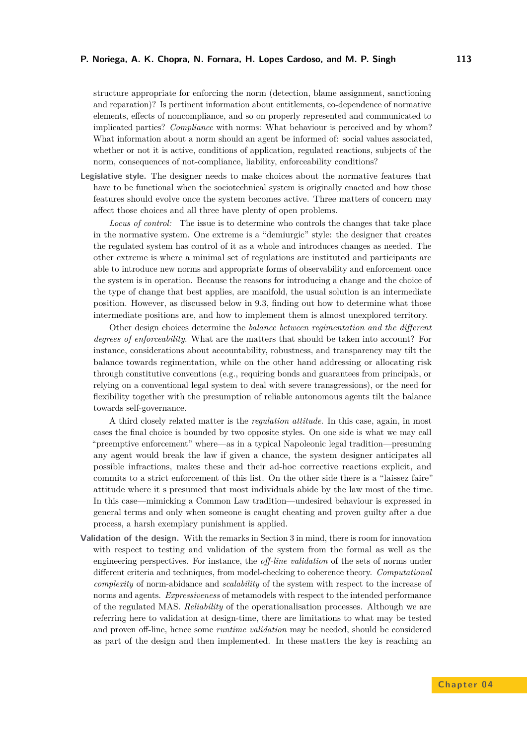structure appropriate for enforcing the norm (detection, blame assignment, sanctioning and reparation)? Is pertinent information about entitlements, co-dependence of normative elements, effects of noncompliance, and so on properly represented and communicated to implicated parties? *Compliance* with norms: What behaviour is perceived and by whom? What information about a norm should an agent be informed of: social values associated, whether or not it is active, conditions of application, regulated reactions, subjects of the norm, consequences of not-compliance, liability, enforceability conditions?

**Legislative style.** The designer needs to make choices about the normative features that have to be functional when the sociotechnical system is originally enacted and how those features should evolve once the system becomes active. Three matters of concern may affect those choices and all three have plenty of open problems.

*Locus of control:* The issue is to determine who controls the changes that take place in the normative system. One extreme is a "demiurgic" style: the designer that creates the regulated system has control of it as a whole and introduces changes as needed. The other extreme is where a minimal set of regulations are instituted and participants are able to introduce new norms and appropriate forms of observability and enforcement once the system is in operation. Because the reasons for introducing a change and the choice of the type of change that best applies, are manifold, the usual solution is an intermediate position. However, as discussed below in [9.3,](#page-24-0) finding out how to determine what those intermediate positions are, and how to implement them is almost unexplored territory.

Other design choices determine the *balance between regimentation and the different degrees of enforceability*. What are the matters that should be taken into account? For instance, considerations about accountability, robustness, and transparency may tilt the balance towards regimentation, while on the other hand addressing or allocating risk through constitutive conventions (e.g., requiring bonds and guarantees from principals, or relying on a conventional legal system to deal with severe transgressions), or the need for flexibility together with the presumption of reliable autonomous agents tilt the balance towards self-governance.

A third closely related matter is the *regulation attitude*. In this case, again, in most cases the final choice is bounded by two opposite styles. On one side is what we may call "preemptive enforcement" where—as in a typical Napoleonic legal tradition—presuming any agent would break the law if given a chance, the system designer anticipates all possible infractions, makes these and their ad-hoc corrective reactions explicit, and commits to a strict enforcement of this list. On the other side there is a "laissez faire" attitude where it s presumed that most individuals abide by the law most of the time. In this case—mimicking a Common Law tradition—undesired behaviour is expressed in general terms and only when someone is caught cheating and proven guilty after a due process, a harsh exemplary punishment is applied.

**Validation of the design.** With the remarks in Section [3](#page-5-0) in mind, there is room for innovation with respect to testing and validation of the system from the formal as well as the engineering perspectives. For instance, the *off-line validation* of the sets of norms under different criteria and techniques, from model-checking to coherence theory. *Computational complexity* of norm-abidance and *scalability* of the system with respect to the increase of norms and agents. *Expressiveness* of metamodels with respect to the intended performance of the regulated MAS. *Reliability* of the operationalisation processes. Although we are referring here to validation at design-time, there are limitations to what may be tested and proven off-line, hence some *runtime validation* may be needed, should be considered as part of the design and then implemented. In these matters the key is reaching an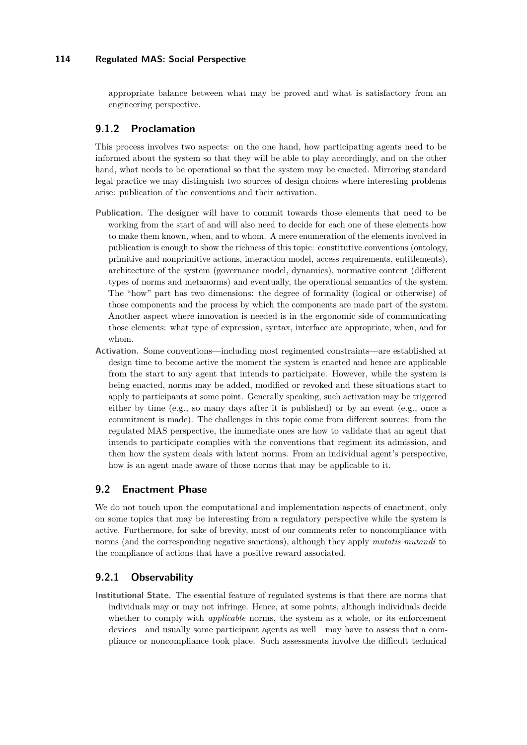appropriate balance between what may be proved and what is satisfactory from an engineering perspective.

# **9.1.2 Proclamation**

This process involves two aspects: on the one hand, how participating agents need to be informed about the system so that they will be able to play accordingly, and on the other hand, what needs to be operational so that the system may be enacted. Mirroring standard legal practice we may distinguish two sources of design choices where interesting problems arise: publication of the conventions and their activation.

- **Publication.** The designer will have to commit towards those elements that need to be working from the start of and will also need to decide for each one of these elements how to make them known, when, and to whom. A mere enumeration of the elements involved in publication is enough to show the richness of this topic: constitutive conventions (ontology, primitive and nonprimitive actions, interaction model, access requirements, entitlements), architecture of the system (governance model, dynamics), normative content (different types of norms and metanorms) and eventually, the operational semantics of the system. The "how" part has two dimensions: the degree of formality (logical or otherwise) of those components and the process by which the components are made part of the system. Another aspect where innovation is needed is in the ergonomic side of communicating those elements: what type of expression, syntax, interface are appropriate, when, and for whom.
- **Activation.** Some conventions—including most regimented constraints—are established at design time to become active the moment the system is enacted and hence are applicable from the start to any agent that intends to participate. However, while the system is being enacted, norms may be added, modified or revoked and these situations start to apply to participants at some point. Generally speaking, such activation may be triggered either by time (e.g., so many days after it is published) or by an event (e.g., once a commitment is made). The challenges in this topic come from different sources: from the regulated MAS perspective, the immediate ones are how to validate that an agent that intends to participate complies with the conventions that regiment its admission, and then how the system deals with latent norms. From an individual agent's perspective, how is an agent made aware of those norms that may be applicable to it.

# **9.2 Enactment Phase**

We do not touch upon the computational and implementation aspects of enactment, only on some topics that may be interesting from a regulatory perspective while the system is active. Furthermore, for sake of brevity, most of our comments refer to noncompliance with norms (and the corresponding negative sanctions), although they apply *mutatis mutandi* to the compliance of actions that have a positive reward associated.

# <span id="page-21-0"></span>**9.2.1 Observability**

**Institutional State.** The essential feature of regulated systems is that there are norms that individuals may or may not infringe. Hence, at some points, although individuals decide whether to comply with *applicable* norms, the system as a whole, or its enforcement devices—and usually some participant agents as well—may have to assess that a compliance or noncompliance took place. Such assessments involve the difficult technical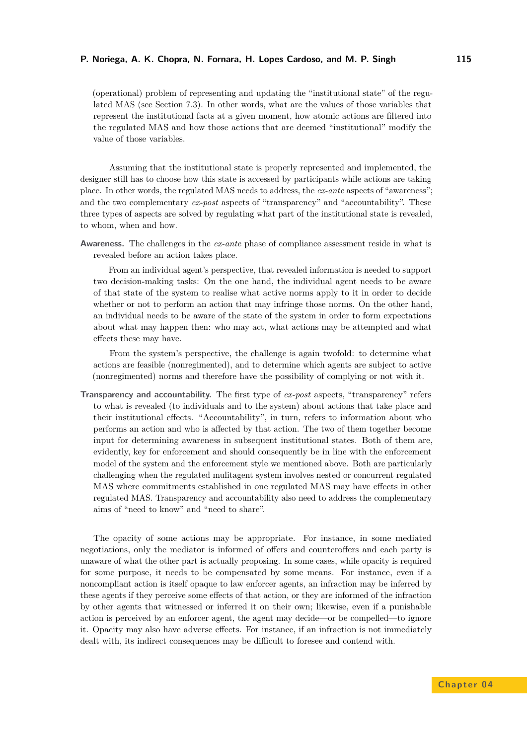(operational) problem of representing and updating the "institutional state" of the regulated MAS (see Section [7.3\)](#page-14-0). In other words, what are the values of those variables that represent the institutional facts at a given moment, how atomic actions are filtered into the regulated MAS and how those actions that are deemed "institutional" modify the value of those variables.

Assuming that the institutional state is properly represented and implemented, the designer still has to choose how this state is accessed by participants while actions are taking place. In other words, the regulated MAS needs to address, the *ex-ante* aspects of "awareness"; and the two complementary *ex-post* aspects of "transparency" and "accountability". These three types of aspects are solved by regulating what part of the institutional state is revealed, to whom, when and how.

**Awareness.** The challenges in the *ex-ante* phase of compliance assessment reside in what is revealed before an action takes place.

From an individual agent's perspective, that revealed information is needed to support two decision-making tasks: On the one hand, the individual agent needs to be aware of that state of the system to realise what active norms apply to it in order to decide whether or not to perform an action that may infringe those norms. On the other hand, an individual needs to be aware of the state of the system in order to form expectations about what may happen then: who may act, what actions may be attempted and what effects these may have.

From the system's perspective, the challenge is again twofold: to determine what actions are feasible (nonregimented), and to determine which agents are subject to active (nonregimented) norms and therefore have the possibility of complying or not with it.

**Transparency and accountability.** The first type of *ex-post* aspects, "transparency" refers to what is revealed (to individuals and to the system) about actions that take place and their institutional effects. "Accountability", in turn, refers to information about who performs an action and who is affected by that action. The two of them together become input for determining awareness in subsequent institutional states. Both of them are, evidently, key for enforcement and should consequently be in line with the enforcement model of the system and the enforcement style we mentioned above. Both are particularly challenging when the regulated mulitagent system involves nested or concurrent regulated MAS where commitments established in one regulated MAS may have effects in other regulated MAS. Transparency and accountability also need to address the complementary aims of "need to know" and "need to share".

The opacity of some actions may be appropriate. For instance, in some mediated negotiations, only the mediator is informed of offers and counteroffers and each party is unaware of what the other part is actually proposing. In some cases, while opacity is required for some purpose, it needs to be compensated by some means. For instance, even if a noncompliant action is itself opaque to law enforcer agents, an infraction may be inferred by these agents if they perceive some effects of that action, or they are informed of the infraction by other agents that witnessed or inferred it on their own; likewise, even if a punishable action is perceived by an enforcer agent, the agent may decide—or be compelled—to ignore it. Opacity may also have adverse effects. For instance, if an infraction is not immediately dealt with, its indirect consequences may be difficult to foresee and contend with.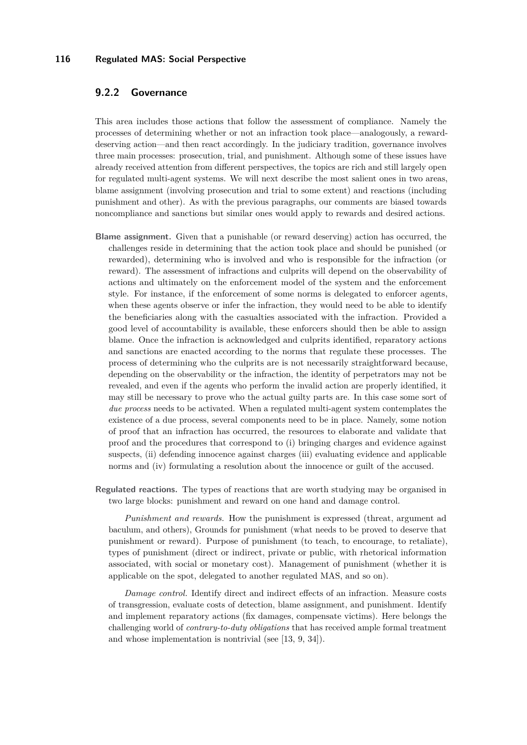# **9.2.2 Governance**

This area includes those actions that follow the assessment of compliance. Namely the processes of determining whether or not an infraction took place—analogously, a rewarddeserving action—and then react accordingly. In the judiciary tradition, governance involves three main processes: prosecution, trial, and punishment. Although some of these issues have already received attention from different perspectives, the topics are rich and still largely open for regulated multi-agent systems. We will next describe the most salient ones in two areas, blame assignment (involving prosecution and trial to some extent) and reactions (including punishment and other). As with the previous paragraphs, our comments are biased towards noncompliance and sanctions but similar ones would apply to rewards and desired actions.

- **Blame assignment.** Given that a punishable (or reward deserving) action has occurred, the challenges reside in determining that the action took place and should be punished (or rewarded), determining who is involved and who is responsible for the infraction (or reward). The assessment of infractions and culprits will depend on the observability of actions and ultimately on the enforcement model of the system and the enforcement style. For instance, if the enforcement of some norms is delegated to enforcer agents, when these agents observe or infer the infraction, they would need to be able to identify the beneficiaries along with the casualties associated with the infraction. Provided a good level of accountability is available, these enforcers should then be able to assign blame. Once the infraction is acknowledged and culprits identified, reparatory actions and sanctions are enacted according to the norms that regulate these processes. The process of determining who the culprits are is not necessarily straightforward because, depending on the observability or the infraction, the identity of perpetrators may not be revealed, and even if the agents who perform the invalid action are properly identified, it may still be necessary to prove who the actual guilty parts are. In this case some sort of *due process* needs to be activated. When a regulated multi-agent system contemplates the existence of a due process, several components need to be in place. Namely, some notion of proof that an infraction has occurred, the resources to elaborate and validate that proof and the procedures that correspond to (i) bringing charges and evidence against suspects, (ii) defending innocence against charges (iii) evaluating evidence and applicable norms and (iv) formulating a resolution about the innocence or guilt of the accused.
- **Regulated reactions.** The types of reactions that are worth studying may be organised in two large blocks: punishment and reward on one hand and damage control.

*Punishment and rewards.* How the punishment is expressed (threat, argument ad baculum, and others), Grounds for punishment (what needs to be proved to deserve that punishment or reward). Purpose of punishment (to teach, to encourage, to retaliate), types of punishment (direct or indirect, private or public, with rhetorical information associated, with social or monetary cost). Management of punishment (whether it is applicable on the spot, delegated to another regulated MAS, and so on).

*Damage control.* Identify direct and indirect effects of an infraction. Measure costs of transgression, evaluate costs of detection, blame assignment, and punishment. Identify and implement reparatory actions (fix damages, compensate victims). Here belongs the challenging world of *contrary-to-duty obligations* that has received ample formal treatment and whose implementation is nontrivial (see [\[13,](#page-35-6) [9,](#page-35-7) [34\]](#page-37-10)).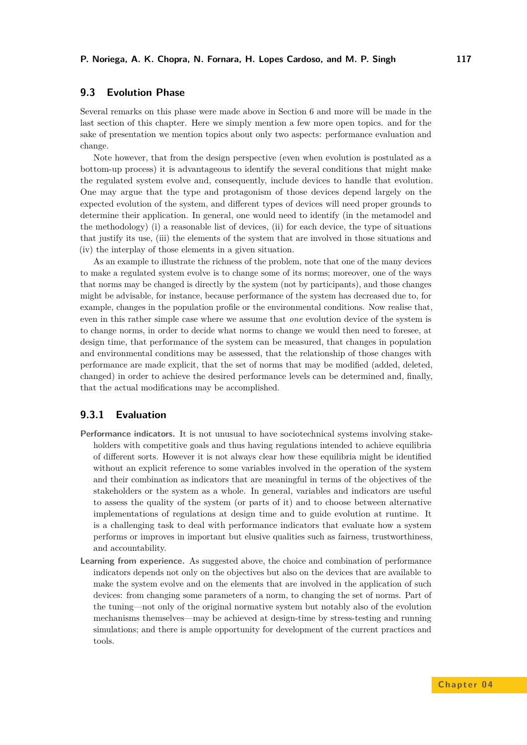# <span id="page-24-0"></span>**9.3 Evolution Phase**

Several remarks on this phase were made above in Section [6](#page-12-0) and more will be made in the last section of this chapter. Here we simply mention a few more open topics. and for the sake of presentation we mention topics about only two aspects: performance evaluation and change.

Note however, that from the design perspective (even when evolution is postulated as a bottom-up process) it is advantageous to identify the several conditions that might make the regulated system evolve and, consequently, include devices to handle that evolution. One may argue that the type and protagonism of those devices depend largely on the expected evolution of the system, and different types of devices will need proper grounds to determine their application. In general, one would need to identify (in the metamodel and the methodology) (i) a reasonable list of devices, (ii) for each device, the type of situations that justify its use, (iii) the elements of the system that are involved in those situations and (iv) the interplay of those elements in a given situation.

As an example to illustrate the richness of the problem, note that one of the many devices to make a regulated system evolve is to change some of its norms; moreover, one of the ways that norms may be changed is directly by the system (not by participants), and those changes might be advisable, for instance, because performance of the system has decreased due to, for example, changes in the population profile or the environmental conditions. Now realise that, even in this rather simple case where we assume that *one* evolution device of the system is to change norms, in order to decide what norms to change we would then need to foresee, at design time, that performance of the system can be measured, that changes in population and environmental conditions may be assessed, that the relationship of those changes with performance are made explicit, that the set of norms that may be modified (added, deleted, changed) in order to achieve the desired performance levels can be determined and, finally, that the actual modifications may be accomplished.

# **9.3.1 Evaluation**

- **Performance indicators.** It is not unusual to have sociotechnical systems involving stakeholders with competitive goals and thus having regulations intended to achieve equilibria of different sorts. However it is not always clear how these equilibria might be identified without an explicit reference to some variables involved in the operation of the system and their combination as indicators that are meaningful in terms of the objectives of the stakeholders or the system as a whole. In general, variables and indicators are useful to assess the quality of the system (or parts of it) and to choose between alternative implementations of regulations at design time and to guide evolution at runtime. It is a challenging task to deal with performance indicators that evaluate how a system performs or improves in important but elusive qualities such as fairness, trustworthiness, and accountability.
- **Learning from experience.** As suggested above, the choice and combination of performance indicators depends not only on the objectives but also on the devices that are available to make the system evolve and on the elements that are involved in the application of such devices: from changing some parameters of a norm, to changing the set of norms. Part of the tuning—not only of the original normative system but notably also of the evolution mechanisms themselves—may be achieved at design-time by stress-testing and running simulations; and there is ample opportunity for development of the current practices and tools.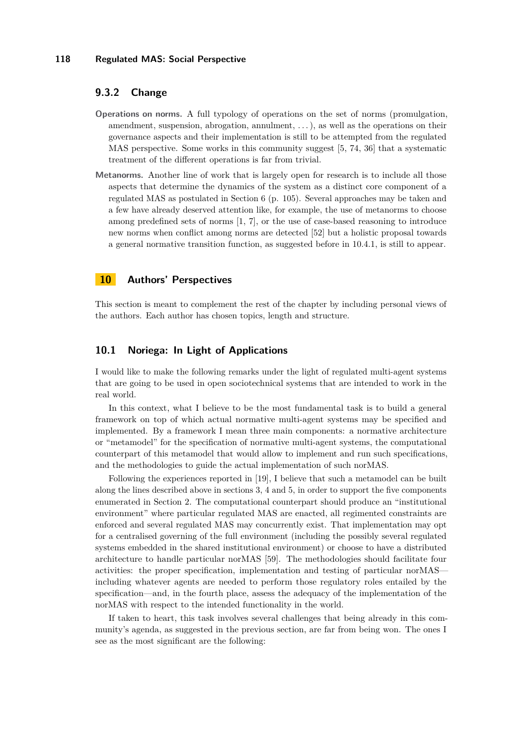# **9.3.2 Change**

- **Operations on norms.** A full typology of operations on the set of norms (promulgation, amendment, suspension, abrogation, annulment, . . . ), as well as the operations on their governance aspects and their implementation is still to be attempted from the regulated MAS perspective. Some works in this community suggest [\[5,](#page-35-8) [74,](#page-39-4) [36\]](#page-37-11) that a systematic treatment of the different operations is far from trivial.
- **Metanorms.** Another line of work that is largely open for research is to include all those aspects that determine the dynamics of the system as a distinct core component of a regulated MAS as postulated in Section [6](#page-12-0) (p. [105\)](#page-12-0). Several approaches may be taken and a few have already deserved attention like, for example, the use of metanorms to choose among predefined sets of norms [\[1,](#page-34-0) [7\]](#page-35-0), or the use of case-based reasoning to introduce new norms when conflict among norms are detected [\[52\]](#page-38-10) but a holistic proposal towards a general normative transition function, as suggested before in [10.4.1,](#page-31-0) is still to appear.

# <span id="page-25-0"></span>**10 Authors' Perspectives**

This section is meant to complement the rest of the chapter by including personal views of the authors. Each author has chosen topics, length and structure.

### <span id="page-25-1"></span>**10.1 Noriega: In Light of Applications**

I would like to make the following remarks under the light of regulated multi-agent systems that are going to be used in open sociotechnical systems that are intended to work in the real world.

In this context, what I believe to be the most fundamental task is to build a general framework on top of which actual normative multi-agent systems may be specified and implemented. By a framework I mean three main components: a normative architecture or "metamodel" for the specification of normative multi-agent systems, the computational counterpart of this metamodel that would allow to implement and run such specifications, and the methodologies to guide the actual implementation of such norMAS.

Following the experiences reported in [\[19\]](#page-36-1), I believe that such a metamodel can be built along the lines described above in sections [3,](#page-5-0) [4](#page-7-0) and [5,](#page-10-0) in order to support the five components enumerated in Section [2.](#page-2-0) The computational counterpart should produce an "institutional environment" where particular regulated MAS are enacted, all regimented constraints are enforced and several regulated MAS may concurrently exist. That implementation may opt for a centralised governing of the full environment (including the possibly several regulated systems embedded in the shared institutional environment) or choose to have a distributed architecture to handle particular norMAS [\[59\]](#page-38-11). The methodologies should facilitate four activities: the proper specification, implementation and testing of particular norMAS including whatever agents are needed to perform those regulatory roles entailed by the specification—and, in the fourth place, assess the adequacy of the implementation of the norMAS with respect to the intended functionality in the world.

If taken to heart, this task involves several challenges that being already in this community's agenda, as suggested in the previous section, are far from being won. The ones I see as the most significant are the following: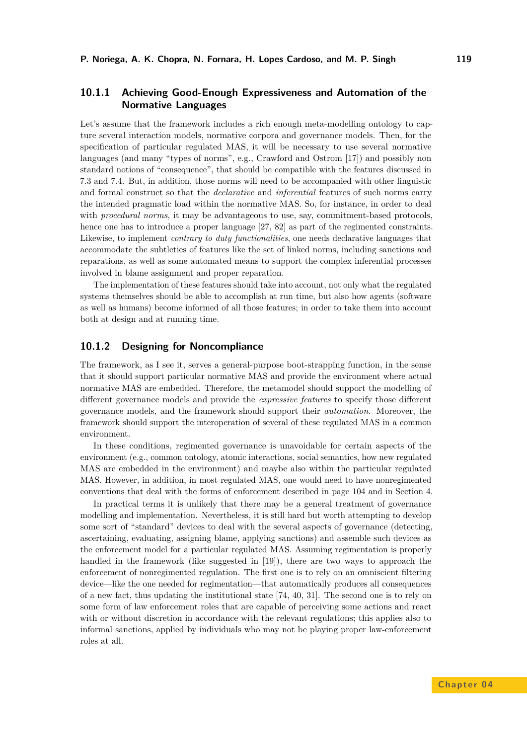# **10.1.1 Achieving Good-Enough Expressiveness and Automation of the Normative Languages**

Let's assume that the framework includes a rich enough meta-modelling ontology to capture several interaction models, normative corpora and governance models. Then, for the specification of particular regulated MAS, it will be necessary to use several normative languages (and many "types of norms", e.g., Crawford and Ostrom [\[17\]](#page-35-9)) and possibly non standard notions of "consequence", that should be compatible with the features discussed in [7.3](#page-14-0) and [7.4.](#page-14-1) But, in addition, those norms will need to be accompanied with other linguistic and formal construct so that the *declarative* and *inferential* features of such norms carry the intended pragmatic load within the normative MAS. So, for instance, in order to deal with *procedural norms*, it may be advantageous to use, say, commitment-based protocols, hence one has to introduce a proper language [\[27,](#page-36-3) [82\]](#page-39-6) as part of the regimented constraints. Likewise, to implement *contrary to duty functionalities*, one needs declarative languages that accommodate the subtleties of features like the set of linked norms, including sanctions and reparations, as well as some automated means to support the complex inferential processes involved in blame assignment and proper reparation.

The implementation of these features should take into account, not only what the regulated systems themselves should be able to accomplish at run time, but also how agents (software as well as humans) become informed of all those features; in order to take them into account both at design and at running time.

### **10.1.2 Designing for Noncompliance**

The framework, as I see it, serves a general-purpose boot-strapping function, in the sense that it should support particular normative MAS and provide the environment where actual normative MAS are embedded. Therefore, the metamodel should support the modelling of different governance models and provide the *expressive features* to specify those different governance models, and the framework should support their *automation*. Moreover, the framework should support the interoperation of several of these regulated MAS in a common environment.

In these conditions, regimented governance is unavoidable for certain aspects of the environment (e.g., common ontology, atomic interactions, social semantics, how new regulated MAS are embedded in the environment) and maybe also within the particular regulated MAS. However, in addition, in most regulated MAS, one would need to have nonregimented conventions that deal with the forms of enforcement described in page [104](#page-10-1) and in Section [4.](#page-7-0)

In practical terms it is unlikely that there may be a general treatment of governance modelling and implementation. Nevertheless, it is still hard but worth attempting to develop some sort of "standard" devices to deal with the several aspects of governance (detecting, ascertaining, evaluating, assigning blame, applying sanctions) and assemble such devices as the enforcement model for a particular regulated MAS. Assuming regimentation is properly handled in the framework (like suggested in [\[19\]](#page-36-1)), there are two ways to approach the enforcement of nonregimented regulation. The first one is to rely on an omniscient filtering device—like the one needed for regimentation—that automatically produces all consequences of a new fact, thus updating the institutional state [\[74,](#page-39-4) [40,](#page-37-5) [31\]](#page-36-9). The second one is to rely on some form of law enforcement roles that are capable of perceiving some actions and react with or without discretion in accordance with the relevant regulations; this applies also to informal sanctions, applied by individuals who may not be playing proper law-enforcement roles at all.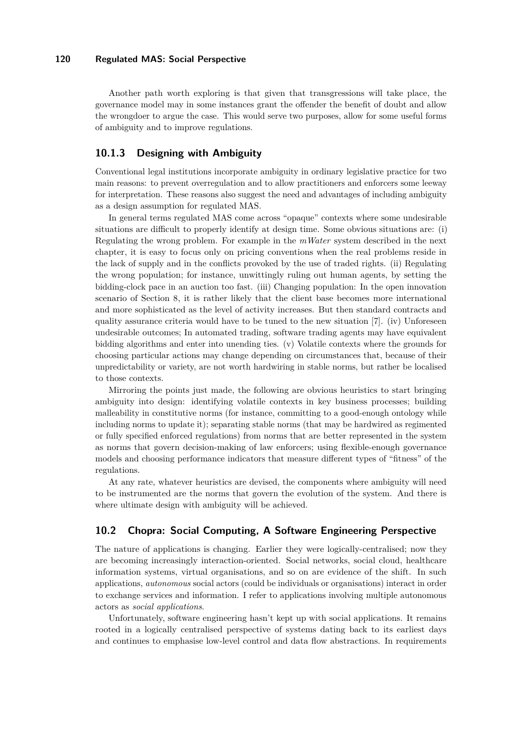Another path worth exploring is that given that transgressions will take place, the governance model may in some instances grant the offender the benefit of doubt and allow the wrongdoer to argue the case. This would serve two purposes, allow for some useful forms of ambiguity and to improve regulations.

### **10.1.3 Designing with Ambiguity**

Conventional legal institutions incorporate ambiguity in ordinary legislative practice for two main reasons: to prevent overregulation and to allow practitioners and enforcers some leeway for interpretation. These reasons also suggest the need and advantages of including ambiguity as a design assumption for regulated MAS.

In general terms regulated MAS come across "opaque" contexts where some undesirable situations are difficult to properly identify at design time. Some obvious situations are: (i) Regulating the wrong problem. For example in the *mWater* system described in the next chapter, it is easy to focus only on pricing conventions when the real problems reside in the lack of supply and in the conflicts provoked by the use of traded rights. (ii) Regulating the wrong population; for instance, unwittingly ruling out human agents, by setting the bidding-clock pace in an auction too fast. (iii) Changing population: In the open innovation scenario of Section [8,](#page-15-0) it is rather likely that the client base becomes more international and more sophisticated as the level of activity increases. But then standard contracts and quality assurance criteria would have to be tuned to the new situation [\[7\]](#page-35-0). (iv) Unforeseen undesirable outcomes; In automated trading, software trading agents may have equivalent bidding algorithms and enter into unending ties. (v) Volatile contexts where the grounds for choosing particular actions may change depending on circumstances that, because of their unpredictability or variety, are not worth hardwiring in stable norms, but rather be localised to those contexts.

Mirroring the points just made, the following are obvious heuristics to start bringing ambiguity into design: identifying volatile contexts in key business processes; building malleability in constitutive norms (for instance, committing to a good-enough ontology while including norms to update it); separating stable norms (that may be hardwired as regimented or fully specified enforced regulations) from norms that are better represented in the system as norms that govern decision-making of law enforcers; using flexible-enough governance models and choosing performance indicators that measure different types of "fitness" of the regulations.

At any rate, whatever heuristics are devised, the components where ambiguity will need to be instrumented are the norms that govern the evolution of the system. And there is where ultimate design with ambiguity will be achieved.

### <span id="page-27-0"></span>**10.2 Chopra: Social Computing, A Software Engineering Perspective**

The nature of applications is changing. Earlier they were logically-centralised; now they are becoming increasingly interaction-oriented. Social networks, social cloud, healthcare information systems, virtual organisations, and so on are evidence of the shift. In such applications, *autonomous* social actors (could be individuals or organisations) interact in order to exchange services and information. I refer to applications involving multiple autonomous actors as *social applications*.

Unfortunately, software engineering hasn't kept up with social applications. It remains rooted in a logically centralised perspective of systems dating back to its earliest days and continues to emphasise low-level control and data flow abstractions. In requirements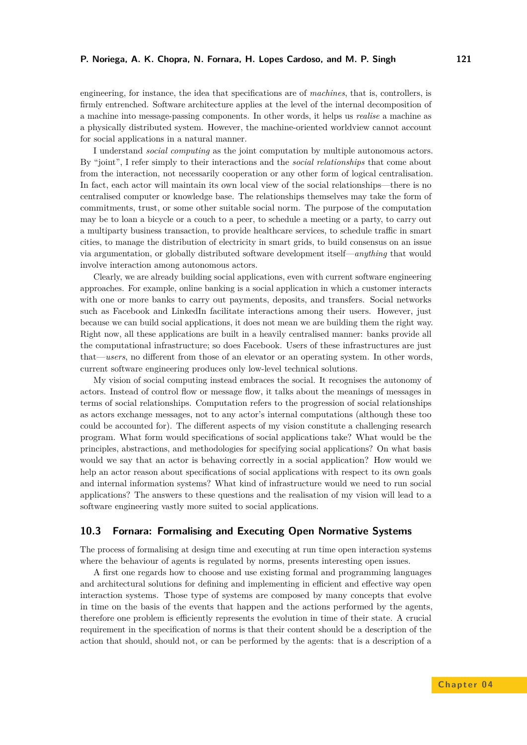engineering, for instance, the idea that specifications are of *machines*, that is, controllers, is firmly entrenched. Software architecture applies at the level of the internal decomposition of a machine into message-passing components. In other words, it helps us *realise* a machine as a physically distributed system. However, the machine-oriented worldview cannot account for social applications in a natural manner.

I understand *social computing* as the joint computation by multiple autonomous actors. By "joint", I refer simply to their interactions and the *social relationships* that come about from the interaction, not necessarily cooperation or any other form of logical centralisation. In fact, each actor will maintain its own local view of the social relationships—there is no centralised computer or knowledge base. The relationships themselves may take the form of commitments, trust, or some other suitable social norm. The purpose of the computation may be to loan a bicycle or a couch to a peer, to schedule a meeting or a party, to carry out a multiparty business transaction, to provide healthcare services, to schedule traffic in smart cities, to manage the distribution of electricity in smart grids, to build consensus on an issue via argumentation, or globally distributed software development itself—*anything* that would involve interaction among autonomous actors.

Clearly, we are already building social applications, even with current software engineering approaches. For example, online banking is a social application in which a customer interacts with one or more banks to carry out payments, deposits, and transfers. Social networks such as Facebook and LinkedIn facilitate interactions among their users. However, just because we can build social applications, it does not mean we are building them the right way. Right now, all these applications are built in a heavily centralised manner: banks provide all the computational infrastructure; so does Facebook. Users of these infrastructures are just that—*users*, no different from those of an elevator or an operating system. In other words, current software engineering produces only low-level technical solutions.

My vision of social computing instead embraces the social. It recognises the autonomy of actors. Instead of control flow or message flow, it talks about the meanings of messages in terms of social relationships. Computation refers to the progression of social relationships as actors exchange messages, not to any actor's internal computations (although these too could be accounted for). The different aspects of my vision constitute a challenging research program. What form would specifications of social applications take? What would be the principles, abstractions, and methodologies for specifying social applications? On what basis would we say that an actor is behaving correctly in a social application? How would we help an actor reason about specifications of social applications with respect to its own goals and internal information systems? What kind of infrastructure would we need to run social applications? The answers to these questions and the realisation of my vision will lead to a software engineering vastly more suited to social applications.

# **10.3 Fornara: Formalising and Executing Open Normative Systems**

The process of formalising at design time and executing at run time open interaction systems where the behaviour of agents is regulated by norms, presents interesting open issues.

A first one regards how to choose and use existing formal and programming languages and architectural solutions for defining and implementing in efficient and effective way open interaction systems. Those type of systems are composed by many concepts that evolve in time on the basis of the events that happen and the actions performed by the agents, therefore one problem is efficiently represents the evolution in time of their state. A crucial requirement in the specification of norms is that their content should be a description of the action that should, should not, or can be performed by the agents: that is a description of a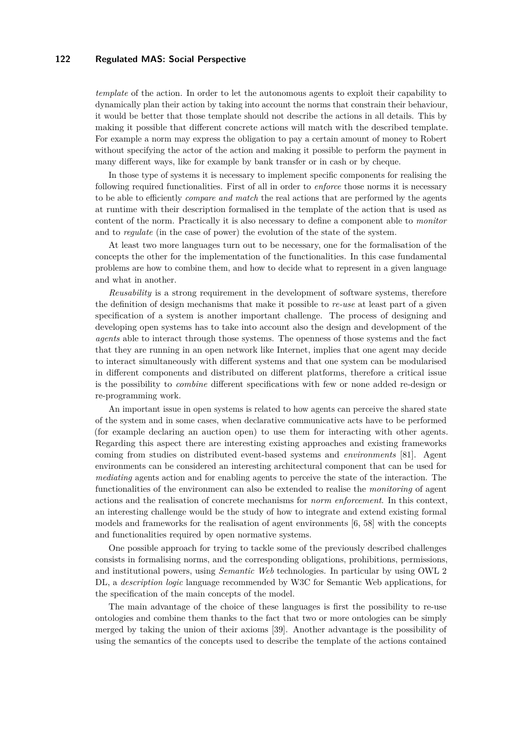*template* of the action. In order to let the autonomous agents to exploit their capability to dynamically plan their action by taking into account the norms that constrain their behaviour, it would be better that those template should not describe the actions in all details. This by making it possible that different concrete actions will match with the described template. For example a norm may express the obligation to pay a certain amount of money to Robert without specifying the actor of the action and making it possible to perform the payment in many different ways, like for example by bank transfer or in cash or by cheque.

In those type of systems it is necessary to implement specific components for realising the following required functionalities. First of all in order to *enforce* those norms it is necessary to be able to efficiently *compare and match* the real actions that are performed by the agents at runtime with their description formalised in the template of the action that is used as content of the norm. Practically it is also necessary to define a component able to *monitor* and to *regulate* (in the case of power) the evolution of the state of the system.

At least two more languages turn out to be necessary, one for the formalisation of the concepts the other for the implementation of the functionalities. In this case fundamental problems are how to combine them, and how to decide what to represent in a given language and what in another.

*Reusability* is a strong requirement in the development of software systems, therefore the definition of design mechanisms that make it possible to *re-use* at least part of a given specification of a system is another important challenge. The process of designing and developing open systems has to take into account also the design and development of the *agents* able to interact through those systems. The openness of those systems and the fact that they are running in an open network like Internet, implies that one agent may decide to interact simultaneously with different systems and that one system can be modularised in different components and distributed on different platforms, therefore a critical issue is the possibility to *combine* different specifications with few or none added re-design or re-programming work.

An important issue in open systems is related to how agents can perceive the shared state of the system and in some cases, when declarative communicative acts have to be performed (for example declaring an auction open) to use them for interacting with other agents. Regarding this aspect there are interesting existing approaches and existing frameworks coming from studies on distributed event-based systems and *environments* [\[81\]](#page-39-11). Agent environments can be considered an interesting architectural component that can be used for *mediating* agents action and for enabling agents to perceive the state of the interaction. The functionalities of the environment can also be extended to realise the *monitoring* of agent actions and the realisation of concrete mechanisms for *norm enforcement*. In this context, an interesting challenge would be the study of how to integrate and extend existing formal models and frameworks for the realisation of agent environments [\[6,](#page-35-10) [58\]](#page-38-12) with the concepts and functionalities required by open normative systems.

One possible approach for trying to tackle some of the previously described challenges consists in formalising norms, and the corresponding obligations, prohibitions, permissions, and institutional powers, using *Semantic Web* technologies. In particular by using OWL 2 DL, a *description logic* language recommended by W3C for Semantic Web applications, for the specification of the main concepts of the model.

The main advantage of the choice of these languages is first the possibility to re-use ontologies and combine them thanks to the fact that two or more ontologies can be simply merged by taking the union of their axioms [\[39\]](#page-37-12). Another advantage is the possibility of using the semantics of the concepts used to describe the template of the actions contained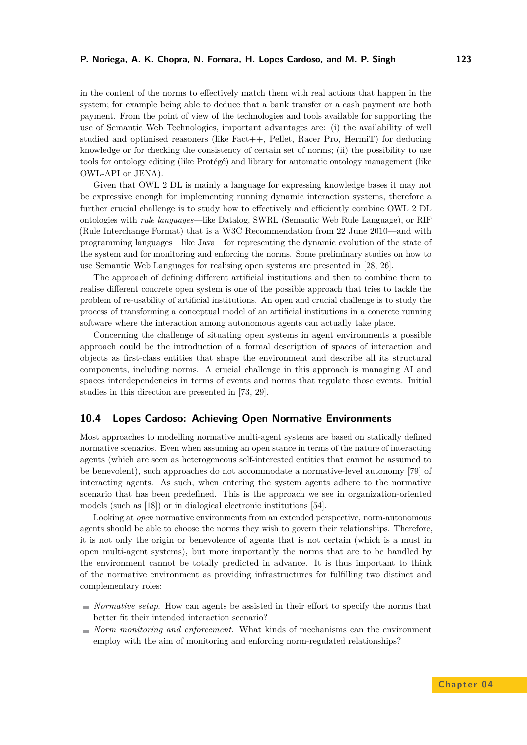#### **P. Noriega, A. K. Chopra, N. Fornara, H. Lopes Cardoso, and M. P. Singh 123**

in the content of the norms to effectively match them with real actions that happen in the system; for example being able to deduce that a bank transfer or a cash payment are both payment. From the point of view of the technologies and tools available for supporting the use of Semantic Web Technologies, important advantages are: (i) the availability of well studied and optimised reasoners (like Fact++, Pellet, Racer Pro, HermiT) for deducing knowledge or for checking the consistency of certain set of norms; (ii) the possibility to use tools for ontology editing (like Protégé) and library for automatic ontology management (like OWL-API or JENA).

Given that OWL 2 DL is mainly a language for expressing knowledge bases it may not be expressive enough for implementing running dynamic interaction systems, therefore a further crucial challenge is to study how to effectively and efficiently combine OWL 2 DL ontologies with *rule languages*—like Datalog, SWRL (Semantic Web Rule Language), or RIF (Rule Interchange Format) that is a W3C Recommendation from 22 June 2010—and with programming languages—like Java—for representing the dynamic evolution of the state of the system and for monitoring and enforcing the norms. Some preliminary studies on how to use Semantic Web Languages for realising open systems are presented in [\[28,](#page-36-10) [26\]](#page-36-11).

The approach of defining different artificial institutions and then to combine them to realise different concrete open system is one of the possible approach that tries to tackle the problem of re-usability of artificial institutions. An open and crucial challenge is to study the process of transforming a conceptual model of an artificial institutions in a concrete running software where the interaction among autonomous agents can actually take place.

Concerning the challenge of situating open systems in agent environments a possible approach could be the introduction of a formal description of spaces of interaction and objects as first-class entities that shape the environment and describe all its structural components, including norms. A crucial challenge in this approach is managing AI and spaces interdependencies in terms of events and norms that regulate those events. Initial studies in this direction are presented in [\[73,](#page-39-1) [29\]](#page-36-12).

# **10.4 Lopes Cardoso: Achieving Open Normative Environments**

Most approaches to modelling normative multi-agent systems are based on statically defined normative scenarios. Even when assuming an open stance in terms of the nature of interacting agents (which are seen as heterogeneous self-interested entities that cannot be assumed to be benevolent), such approaches do not accommodate a normative-level autonomy [\[79\]](#page-39-12) of interacting agents. As such, when entering the system agents adhere to the normative scenario that has been predefined. This is the approach we see in organization-oriented models (such as [\[18\]](#page-36-13)) or in dialogical electronic institutions [\[54\]](#page-38-0).

Looking at *open* normative environments from an extended perspective, norm-autonomous agents should be able to choose the norms they wish to govern their relationships. Therefore, it is not only the origin or benevolence of agents that is not certain (which is a must in open multi-agent systems), but more importantly the norms that are to be handled by the environment cannot be totally predicted in advance. It is thus important to think of the normative environment as providing infrastructures for fulfilling two distinct and complementary roles:

- *Normative setup*. How can agents be assisted in their effort to specify the norms that better fit their intended interaction scenario?
- *Norm monitoring and enforcement*. What kinds of mechanisms can the environment employ with the aim of monitoring and enforcing norm-regulated relationships?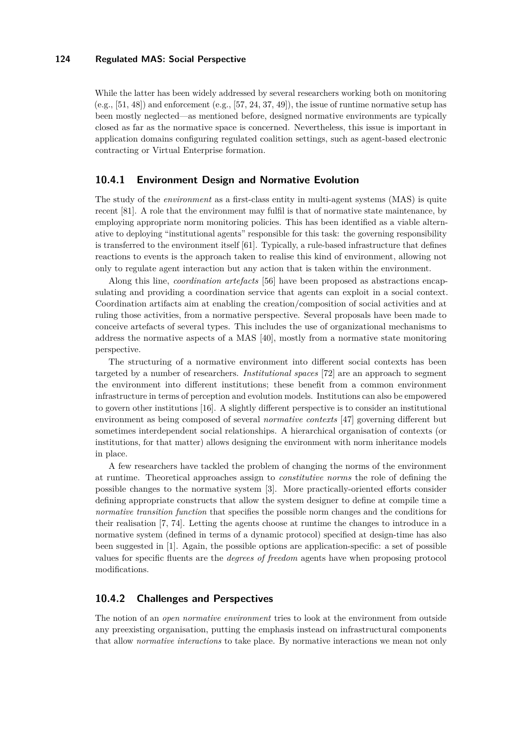While the latter has been widely addressed by several researchers working both on monitoring  $(e.g., [51, 48])$  $(e.g., [51, 48])$  $(e.g., [51, 48])$  $(e.g., [51, 48])$  $(e.g., [51, 48])$  and enforcement  $(e.g., [57, 24, 37, 49])$  $(e.g., [57, 24, 37, 49])$  $(e.g., [57, 24, 37, 49])$  $(e.g., [57, 24, 37, 49])$  $(e.g., [57, 24, 37, 49])$  $(e.g., [57, 24, 37, 49])$  $(e.g., [57, 24, 37, 49])$  $(e.g., [57, 24, 37, 49])$  $(e.g., [57, 24, 37, 49])$ , the issue of runtime normative setup has been mostly neglected—as mentioned before, designed normative environments are typically closed as far as the normative space is concerned. Nevertheless, this issue is important in application domains configuring regulated coalition settings, such as agent-based electronic contracting or Virtual Enterprise formation.

# <span id="page-31-0"></span>**10.4.1 Environment Design and Normative Evolution**

The study of the *environment* as a first-class entity in multi-agent systems (MAS) is quite recent [\[81\]](#page-39-11). A role that the environment may fulfil is that of normative state maintenance, by employing appropriate norm monitoring policies. This has been identified as a viable alternative to deploying "institutional agents" responsible for this task: the governing responsibility is transferred to the environment itself [\[61\]](#page-38-15). Typically, a rule-based infrastructure that defines reactions to events is the approach taken to realise this kind of environment, allowing not only to regulate agent interaction but any action that is taken within the environment.

Along this line, *coordination artefacts* [\[56\]](#page-38-16) have been proposed as abstractions encapsulating and providing a coordination service that agents can exploit in a social context. Coordination artifacts aim at enabling the creation/composition of social activities and at ruling those activities, from a normative perspective. Several proposals have been made to conceive artefacts of several types. This includes the use of organizational mechanisms to address the normative aspects of a MAS [\[40\]](#page-37-5), mostly from a normative state monitoring perspective.

The structuring of a normative environment into different social contexts has been targeted by a number of researchers. *Institutional spaces* [\[72\]](#page-39-13) are an approach to segment the environment into different institutions; these benefit from a common environment infrastructure in terms of perception and evolution models. Institutions can also be empowered to govern other institutions [\[16\]](#page-35-11). A slightly different perspective is to consider an institutional environment as being composed of several *normative contexts* [\[47\]](#page-37-14) governing different but sometimes interdependent social relationships. A hierarchical organisation of contexts (or institutions, for that matter) allows designing the environment with norm inheritance models in place.

A few researchers have tackled the problem of changing the norms of the environment at runtime. Theoretical approaches assign to *constitutive norms* the role of defining the possible changes to the normative system [\[3\]](#page-35-12). More practically-oriented efforts consider defining appropriate constructs that allow the system designer to define at compile time a *normative transition function* that specifies the possible norm changes and the conditions for their realisation [\[7,](#page-35-0) [74\]](#page-39-4). Letting the agents choose at runtime the changes to introduce in a normative system (defined in terms of a dynamic protocol) specified at design-time has also been suggested in [\[1\]](#page-34-0). Again, the possible options are application-specific: a set of possible values for specific fluents are the *degrees of freedom* agents have when proposing protocol modifications.

### **10.4.2 Challenges and Perspectives**

The notion of an *open normative environment* tries to look at the environment from outside any preexisting organisation, putting the emphasis instead on infrastructural components that allow *normative interactions* to take place. By normative interactions we mean not only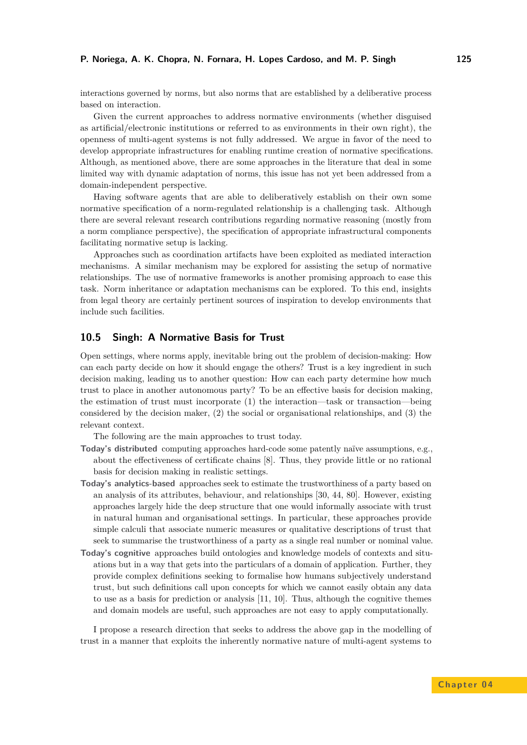#### **P. Noriega, A. K. Chopra, N. Fornara, H. Lopes Cardoso, and M. P. Singh 125**

interactions governed by norms, but also norms that are established by a deliberative process based on interaction.

Given the current approaches to address normative environments (whether disguised as artificial/electronic institutions or referred to as environments in their own right), the openness of multi-agent systems is not fully addressed. We argue in favor of the need to develop appropriate infrastructures for enabling runtime creation of normative specifications. Although, as mentioned above, there are some approaches in the literature that deal in some limited way with dynamic adaptation of norms, this issue has not yet been addressed from a domain-independent perspective.

Having software agents that are able to deliberatively establish on their own some normative specification of a norm-regulated relationship is a challenging task. Although there are several relevant research contributions regarding normative reasoning (mostly from a norm compliance perspective), the specification of appropriate infrastructural components facilitating normative setup is lacking.

Approaches such as coordination artifacts have been exploited as mediated interaction mechanisms. A similar mechanism may be explored for assisting the setup of normative relationships. The use of normative frameworks is another promising approach to ease this task. Norm inheritance or adaptation mechanisms can be explored. To this end, insights from legal theory are certainly pertinent sources of inspiration to develop environments that include such facilities.

### **10.5 Singh: A Normative Basis for Trust**

Open settings, where norms apply, inevitable bring out the problem of decision-making: How can each party decide on how it should engage the others? Trust is a key ingredient in such decision making, leading us to another question: How can each party determine how much trust to place in another autonomous party? To be an effective basis for decision making, the estimation of trust must incorporate (1) the interaction—task or transaction—being considered by the decision maker, (2) the social or organisational relationships, and (3) the relevant context.

The following are the main approaches to trust today.

- **Today's distributed** computing approaches hard-code some patently naïve assumptions, e.g., about the effectiveness of certificate chains [\[8\]](#page-35-13). Thus, they provide little or no rational basis for decision making in realistic settings.
- **Today's analytics-based** approaches seek to estimate the trustworthiness of a party based on an analysis of its attributes, behaviour, and relationships [\[30,](#page-36-14) [44,](#page-37-15) [80\]](#page-39-14). However, existing approaches largely hide the deep structure that one would informally associate with trust in natural human and organisational settings. In particular, these approaches provide simple calculi that associate numeric measures or qualitative descriptions of trust that seek to summarise the trustworthiness of a party as a single real number or nominal value.
- **Today's cognitive** approaches build ontologies and knowledge models of contexts and situations but in a way that gets into the particulars of a domain of application. Further, they provide complex definitions seeking to formalise how humans subjectively understand trust, but such definitions call upon concepts for which we cannot easily obtain any data to use as a basis for prediction or analysis [\[11,](#page-35-14) [10\]](#page-35-15). Thus, although the cognitive themes and domain models are useful, such approaches are not easy to apply computationally.

I propose a research direction that seeks to address the above gap in the modelling of trust in a manner that exploits the inherently normative nature of multi-agent systems to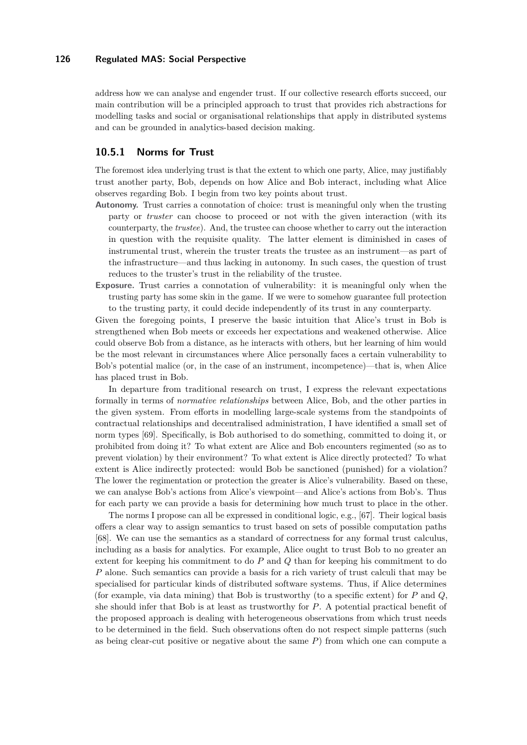address how we can analyse and engender trust. If our collective research efforts succeed, our main contribution will be a principled approach to trust that provides rich abstractions for modelling tasks and social or organisational relationships that apply in distributed systems and can be grounded in analytics-based decision making.

# **10.5.1 Norms for Trust**

The foremost idea underlying trust is that the extent to which one party, Alice, may justifiably trust another party, Bob, depends on how Alice and Bob interact, including what Alice observes regarding Bob. I begin from two key points about trust.

- **Autonomy.** Trust carries a connotation of choice: trust is meaningful only when the trusting party or *truster* can choose to proceed or not with the given interaction (with its counterparty, the *trustee*). And, the trustee can choose whether to carry out the interaction in question with the requisite quality. The latter element is diminished in cases of instrumental trust, wherein the truster treats the trustee as an instrument—as part of the infrastructure—and thus lacking in autonomy. In such cases, the question of trust reduces to the truster's trust in the reliability of the trustee.
- **Exposure.** Trust carries a connotation of vulnerability: it is meaningful only when the trusting party has some skin in the game. If we were to somehow guarantee full protection to the trusting party, it could decide independently of its trust in any counterparty.

Given the foregoing points, I preserve the basic intuition that Alice's trust in Bob is strengthened when Bob meets or exceeds her expectations and weakened otherwise. Alice could observe Bob from a distance, as he interacts with others, but her learning of him would be the most relevant in circumstances where Alice personally faces a certain vulnerability to Bob's potential malice (or, in the case of an instrument, incompetence)—that is, when Alice has placed trust in Bob.

In departure from traditional research on trust, I express the relevant expectations formally in terms of *normative relationships* between Alice, Bob, and the other parties in the given system. From efforts in modelling large-scale systems from the standpoints of contractual relationships and decentralised administration, I have identified a small set of norm types [\[69\]](#page-39-0). Specifically, is Bob authorised to do something, committed to doing it, or prohibited from doing it? To what extent are Alice and Bob encounters regimented (so as to prevent violation) by their environment? To what extent is Alice directly protected? To what extent is Alice indirectly protected: would Bob be sanctioned (punished) for a violation? The lower the regimentation or protection the greater is Alice's vulnerability. Based on these, we can analyse Bob's actions from Alice's viewpoint—and Alice's actions from Bob's. Thus for each party we can provide a basis for determining how much trust to place in the other.

The norms I propose can all be expressed in conditional logic, e.g., [\[67\]](#page-39-15). Their logical basis offers a clear way to assign semantics to trust based on sets of possible computation paths [\[68\]](#page-39-16). We can use the semantics as a standard of correctness for any formal trust calculus, including as a basis for analytics. For example, Alice ought to trust Bob to no greater an extent for keeping his commitment to do *P* and *Q* than for keeping his commitment to do *P* alone. Such semantics can provide a basis for a rich variety of trust calculi that may be specialised for particular kinds of distributed software systems. Thus, if Alice determines (for example, via data mining) that Bob is trustworthy (to a specific extent) for *P* and *Q*, she should infer that Bob is at least as trustworthy for *P*. A potential practical benefit of the proposed approach is dealing with heterogeneous observations from which trust needs to be determined in the field. Such observations often do not respect simple patterns (such as being clear-cut positive or negative about the same *P*) from which one can compute a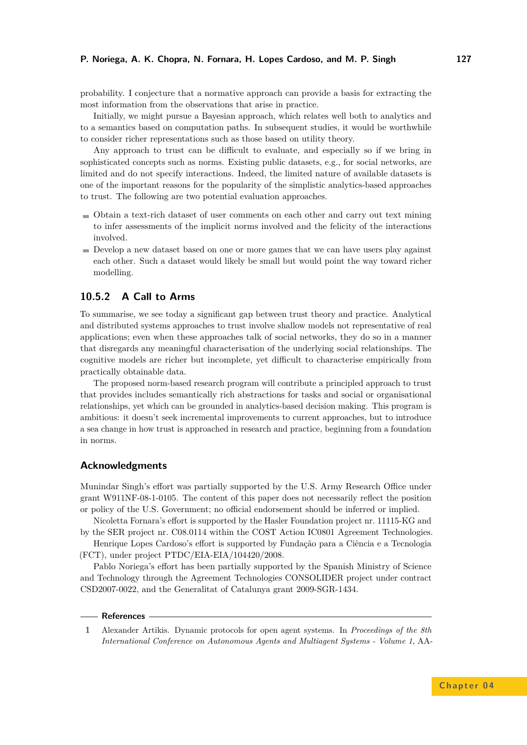probability. I conjecture that a normative approach can provide a basis for extracting the most information from the observations that arise in practice.

Initially, we might pursue a Bayesian approach, which relates well both to analytics and to a semantics based on computation paths. In subsequent studies, it would be worthwhile to consider richer representations such as those based on utility theory.

Any approach to trust can be difficult to evaluate, and especially so if we bring in sophisticated concepts such as norms. Existing public datasets, e.g., for social networks, are limited and do not specify interactions. Indeed, the limited nature of available datasets is one of the important reasons for the popularity of the simplistic analytics-based approaches to trust. The following are two potential evaluation approaches.

- Obtain a text-rich dataset of user comments on each other and carry out text mining to infer assessments of the implicit norms involved and the felicity of the interactions involved.
- Develop a new dataset based on one or more games that we can have users play against each other. Such a dataset would likely be small but would point the way toward richer modelling.

# **10.5.2 A Call to Arms**

To summarise, we see today a significant gap between trust theory and practice. Analytical and distributed systems approaches to trust involve shallow models not representative of real applications; even when these approaches talk of social networks, they do so in a manner that disregards any meaningful characterisation of the underlying social relationships. The cognitive models are richer but incomplete, yet difficult to characterise empirically from practically obtainable data.

The proposed norm-based research program will contribute a principled approach to trust that provides includes semantically rich abstractions for tasks and social or organisational relationships, yet which can be grounded in analytics-based decision making. This program is ambitious: it doesn't seek incremental improvements to current approaches, but to introduce a sea change in how trust is approached in research and practice, beginning from a foundation in norms.

#### **Acknowledgments**

Munindar Singh's effort was partially supported by the U.S. Army Research Office under grant W911NF-08-1-0105. The content of this paper does not necessarily reflect the position or policy of the U.S. Government; no official endorsement should be inferred or implied.

Nicoletta Fornara's effort is supported by the Hasler Foundation project nr. 11115-KG and

by the SER project nr. C08.0114 within the COST Action IC0801 Agreement Technologies. Henrique Lopes Cardoso's effort is supported by Fundação para a Ciência e a Tecnologia

(FCT), under project PTDC/EIA-EIA/104420/2008.

Pablo Noriega's effort has been partially supported by the Spanish Ministry of Science and Technology through the Agreement Technologies CONSOLIDER project under contract CSD2007-0022, and the Generalitat of Catalunya grant 2009-SGR-1434.

#### **References**

<span id="page-34-0"></span>**1** Alexander Artikis. Dynamic protocols for open agent systems. In *Proceedings of the 8th International Conference on Autonomous Agents and Multiagent Systems - Volume 1*, AA-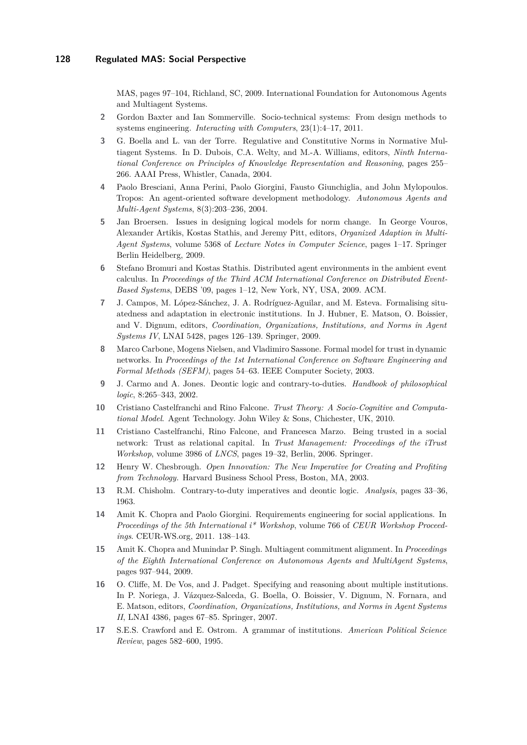MAS, pages 97–104, Richland, SC, 2009. International Foundation for Autonomous Agents and Multiagent Systems.

- <span id="page-35-1"></span>**2** Gordon Baxter and Ian Sommerville. Socio-technical systems: From design methods to systems engineering. *Interacting with Computers*, 23(1):4–17, 2011.
- <span id="page-35-12"></span>**3** G. Boella and L. van der Torre. Regulative and Constitutive Norms in Normative Multiagent Systems. In D. Dubois, C.A. Welty, and M.-A. Williams, editors, *Ninth International Conference on Principles of Knowledge Representation and Reasoning*, pages 255– 266. AAAI Press, Whistler, Canada, 2004.
- <span id="page-35-3"></span>**4** Paolo Bresciani, Anna Perini, Paolo Giorgini, Fausto Giunchiglia, and John Mylopoulos. Tropos: An agent-oriented software development methodology. *Autonomous Agents and Multi-Agent Systems*, 8(3):203–236, 2004.
- <span id="page-35-8"></span>**5** Jan Broersen. Issues in designing logical models for norm change. In George Vouros, Alexander Artikis, Kostas Stathis, and Jeremy Pitt, editors, *Organized Adaption in Multi-Agent Systems*, volume 5368 of *Lecture Notes in Computer Science*, pages 1–17. Springer Berlin Heidelberg, 2009.
- <span id="page-35-10"></span>**6** Stefano Bromuri and Kostas Stathis. Distributed agent environments in the ambient event calculus. In *Proceedings of the Third ACM International Conference on Distributed Event-Based Systems*, DEBS '09, pages 1–12, New York, NY, USA, 2009. ACM.
- <span id="page-35-0"></span>**7** J. Campos, M. López-Sánchez, J. A. Rodríguez-Aguilar, and M. Esteva. Formalising situatedness and adaptation in electronic institutions. In J. Hubner, E. Matson, O. Boissier, and V. Dignum, editors, *Coordination, Organizations, Institutions, and Norms in Agent Systems IV*, LNAI 5428, pages 126–139. Springer, 2009.
- <span id="page-35-13"></span>**8** Marco Carbone, Mogens Nielsen, and Vladimiro Sassone. Formal model for trust in dynamic networks. In *Proceedings of the 1st International Conference on Software Engineering and Formal Methods (SEFM)*, pages 54–63. IEEE Computer Society, 2003.
- <span id="page-35-7"></span>**9** J. Carmo and A. Jones. Deontic logic and contrary-to-duties. *Handbook of philosophical logic*, 8:265–343, 2002.
- <span id="page-35-15"></span>**10** Cristiano Castelfranchi and Rino Falcone. *Trust Theory: A Socio-Cognitive and Computational Model*. Agent Technology. John Wiley & Sons, Chichester, UK, 2010.
- <span id="page-35-14"></span>**11** Cristiano Castelfranchi, Rino Falcone, and Francesca Marzo. Being trusted in a social network: Trust as relational capital. In *Trust Management: Proceedings of the iTrust Workshop*, volume 3986 of *LNCS*, pages 19–32, Berlin, 2006. Springer.
- <span id="page-35-5"></span>**12** Henry W. Chesbrough. *Open Innovation: The New Imperative for Creating and Profiting from Technology.* Harvard Business School Press, Boston, MA, 2003.
- <span id="page-35-6"></span>**13** R.M. Chisholm. Contrary-to-duty imperatives and deontic logic. *Analysis*, pages 33–36, 1963.
- <span id="page-35-2"></span>**14** Amit K. Chopra and Paolo Giorgini. Requirements engineering for social applications. In *Proceedings of the 5th International i\* Workshop*, volume 766 of *CEUR Workshop Proceedings*. CEUR-WS.org, 2011. 138–143.
- <span id="page-35-4"></span>**15** Amit K. Chopra and Munindar P. Singh. Multiagent commitment alignment. In *Proceedings of the Eighth International Conference on Autonomous Agents and MultiAgent Systems*, pages 937–944, 2009.
- <span id="page-35-11"></span>**16** O. Cliffe, M. De Vos, and J. Padget. Specifying and reasoning about multiple institutions. In P. Noriega, J. Vázquez-Salceda, G. Boella, O. Boissier, V. Dignum, N. Fornara, and E. Matson, editors, *Coordination, Organizations, Institutions, and Norms in Agent Systems II*, LNAI 4386, pages 67–85. Springer, 2007.
- <span id="page-35-9"></span>**17** S.E.S. Crawford and E. Ostrom. A grammar of institutions. *American Political Science Review*, pages 582–600, 1995.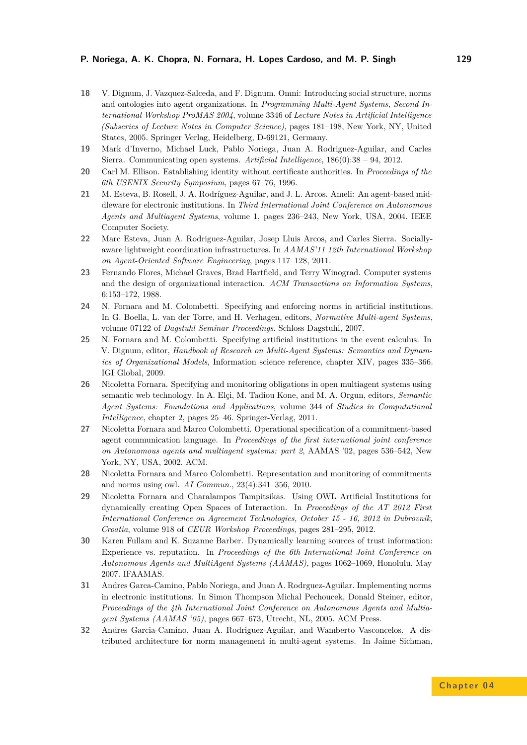- <span id="page-36-13"></span>**18** V. Dignum, J. Vazquez-Salceda, and F. Dignum. Omni: Introducing social structure, norms and ontologies into agent organizations. In *Programming Multi-Agent Systems, Second International Workshop ProMAS 2004*, volume 3346 of *Lecture Notes in Artificial Intelligence (Subseries of Lecture Notes in Computer Science)*, pages 181–198, New York, NY, United States, 2005. Springer Verlag, Heidelberg, D-69121, Germany.
- <span id="page-36-1"></span>**19** Mark d'Inverno, Michael Luck, Pablo Noriega, Juan A. Rodriguez-Aguilar, and Carles Sierra. Communicating open systems. *Artificial Intelligence*, 186(0):38 – 94, 2012.
- <span id="page-36-0"></span>**20** Carl M. Ellison. Establishing identity without certificate authorities. In *Proceedings of the 6th USENIX Security Symposium*, pages 67–76, 1996.
- <span id="page-36-4"></span>**21** M. Esteva, B. Rosell, J. A. Rodríguez-Aguilar, and J. L. Arcos. Ameli: An agent-based middleware for electronic institutions. In *Third International Joint Conference on Autonomous Agents and Multiagent Systems*, volume 1, pages 236–243, New York, USA, 2004. IEEE Computer Society.
- <span id="page-36-7"></span>**22** Marc Esteva, Juan A. Rodriguez-Aguilar, Josep Lluis Arcos, and Carles Sierra. Sociallyaware lightweight coordination infrastructures. In *AAMAS'11 12th International Workshop on Agent-Oriented Software Engineering*, pages 117–128, 2011.
- <span id="page-36-6"></span>**23** Fernando Flores, Michael Graves, Brad Hartfield, and Terry Winograd. Computer systems and the design of organizational interaction. *ACM Transactions on Information Systems*, 6:153–172, 1988.
- <span id="page-36-5"></span>**24** N. Fornara and M. Colombetti. Specifying and enforcing norms in artificial institutions. In G. Boella, L. van der Torre, and H. Verhagen, editors, *Normative Multi-agent Systems*, volume 07122 of *Dagstuhl Seminar Proceedings*. Schloss Dagstuhl, 2007.
- <span id="page-36-2"></span>**25** N. Fornara and M. Colombetti. Specifying artificial institutions in the event calculus. In V. Dignum, editor, *Handbook of Research on Multi-Agent Systems: Semantics and Dynamics of Organizational Models*, Information science reference, chapter XIV, pages 335–366. IGI Global, 2009.
- <span id="page-36-11"></span>**26** Nicoletta Fornara. Specifying and monitoring obligations in open multiagent systems using semantic web technology. In A. Elçi, M. Tadiou Kone, and M. A. Orgun, editors, *Semantic Agent Systems: Foundations and Applications*, volume 344 of *Studies in Computational Intelligence*, chapter 2, pages 25–46. Springer-Verlag, 2011.
- <span id="page-36-3"></span>**27** Nicoletta Fornara and Marco Colombetti. Operational specification of a commitment-based agent communication language. In *Proceedings of the first international joint conference on Autonomous agents and multiagent systems: part 2*, AAMAS '02, pages 536–542, New York, NY, USA, 2002. ACM.
- <span id="page-36-10"></span>**28** Nicoletta Fornara and Marco Colombetti. Representation and monitoring of commitments and norms using owl. *AI Commun.*, 23(4):341–356, 2010.
- <span id="page-36-12"></span>**29** Nicoletta Fornara and Charalampos Tampitsikas. Using OWL Artificial Institutions for dynamically creating Open Spaces of Interaction. In *Proceedings of the AT 2012 First International Conference on Agreement Technologies, October 15 - 16, 2012 in Dubrovnik, Croatia*, volume 918 of *CEUR Workshop Proceedings*, pages 281–295, 2012.
- <span id="page-36-14"></span>**30** Karen Fullam and K. Suzanne Barber. Dynamically learning sources of trust information: Experience vs. reputation. In *Proceedings of the 6th International Joint Conference on Autonomous Agents and MultiAgent Systems (AAMAS)*, pages 1062–1069, Honolulu, May 2007. IFAAMAS.
- <span id="page-36-9"></span>**31** Andres Garca-Camino, Pablo Noriega, and Juan A. Rodrguez-Aguilar. Implementing norms in electronic institutions. In Simon Thompson Michal Pechoucek, Donald Steiner, editor, *Proceedings of the 4th International Joint Conference on Autonomous Agents and Multiagent Systems (AAMAS '05)*, pages 667–673, Utrecht, NL, 2005. ACM Press.
- <span id="page-36-8"></span>**32** Andres Garcia-Camino, Juan A. Rodriguez-Aguilar, and Wamberto Vasconcelos. A distributed architecture for norm management in multi-agent systems. In Jaime Sichman,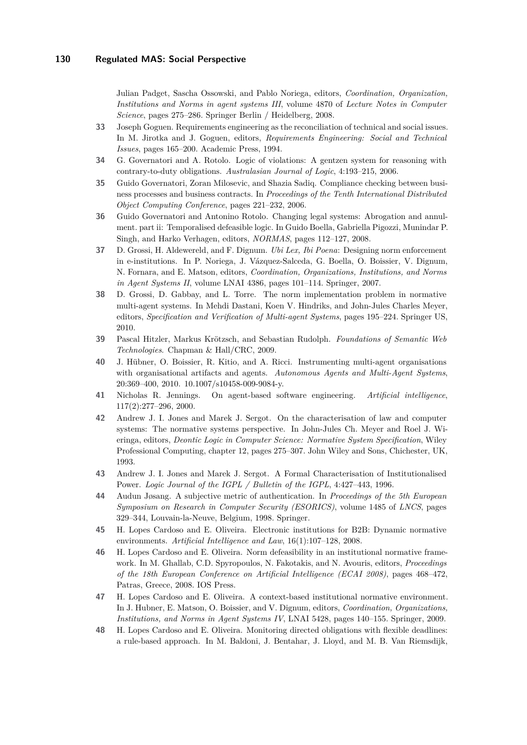Julian Padget, Sascha Ossowski, and Pablo Noriega, editors, *Coordination, Organization, Institutions and Norms in agent systems III*, volume 4870 of *Lecture Notes in Computer Science*, pages 275–286. Springer Berlin / Heidelberg, 2008.

- <span id="page-37-7"></span>**33** Joseph Goguen. Requirements engineering as the reconciliation of technical and social issues. In M. Jirotka and J. Goguen, editors, *Requirements Engineering: Social and Technical Issues*, pages 165–200. Academic Press, 1994.
- <span id="page-37-10"></span>**34** G. Governatori and A. Rotolo. Logic of violations: A gentzen system for reasoning with contrary-to-duty obligations. *Australasian Journal of Logic*, 4:193–215, 2006.
- <span id="page-37-9"></span>**35** Guido Governatori, Zoran Milosevic, and Shazia Sadiq. Compliance checking between business processes and business contracts. In *Proceedings of the Tenth International Distributed Object Computing Conference*, pages 221–232, 2006.
- <span id="page-37-11"></span>**36** Guido Governatori and Antonino Rotolo. Changing legal systems: Abrogation and annulment. part ii: Temporalised defeasible logic. In Guido Boella, Gabriella Pigozzi, Munindar P. Singh, and Harko Verhagen, editors, *NORMAS*, pages 112–127, 2008.
- <span id="page-37-4"></span>**37** D. Grossi, H. Aldewereld, and F. Dignum. *Ubi Lex, Ibi Poena*: Designing norm enforcement in e-institutions. In P. Noriega, J. Vázquez-Salceda, G. Boella, O. Boissier, V. Dignum, N. Fornara, and E. Matson, editors, *Coordination, Organizations, Institutions, and Norms in Agent Systems II*, volume LNAI 4386, pages 101–114. Springer, 2007.
- <span id="page-37-3"></span>**38** D. Grossi, D. Gabbay, and L. Torre. The norm implementation problem in normative multi-agent systems. In Mehdi Dastani, Koen V. Hindriks, and John-Jules Charles Meyer, editors, *Specification and Verification of Multi-agent Systems*, pages 195–224. Springer US, 2010.
- <span id="page-37-12"></span>**39** Pascal Hitzler, Markus Krötzsch, and Sebastian Rudolph. *Foundations of Semantic Web Technologies*. Chapman & Hall/CRC, 2009.
- <span id="page-37-5"></span>**40** J. Hübner, O. Boissier, R. Kitio, and A. Ricci. Instrumenting multi-agent organisations with organisational artifacts and agents. *Autonomous Agents and Multi-Agent Systems*, 20:369–400, 2010. 10.1007/s10458-009-9084-y.
- <span id="page-37-8"></span>**41** Nicholas R. Jennings. On agent-based software engineering. *Artificial intelligence*, 117(2):277–296, 2000.
- <span id="page-37-0"></span>**42** Andrew J. I. Jones and Marek J. Sergot. On the characterisation of law and computer systems: The normative systems perspective. In John-Jules Ch. Meyer and Roel J. Wieringa, editors, *Deontic Logic in Computer Science: Normative System Specification*, Wiley Professional Computing, chapter 12, pages 275–307. John Wiley and Sons, Chichester, UK, 1993.
- <span id="page-37-2"></span>**43** Andrew J. I. Jones and Marek J. Sergot. A Formal Characterisation of Institutionalised Power. *Logic Journal of the IGPL / Bulletin of the IGPL*, 4:427–443, 1996.
- <span id="page-37-15"></span>**44** Audun Jøsang. A subjective metric of authentication. In *Proceedings of the 5th European Symposium on Research in Computer Security (ESORICS)*, volume 1485 of *LNCS*, pages 329–344, Louvain-la-Neuve, Belgium, 1998. Springer.
- <span id="page-37-1"></span>**45** H. Lopes Cardoso and E. Oliveira. Electronic institutions for B2B: Dynamic normative environments. *Artificial Intelligence and Law*, 16(1):107–128, 2008.
- <span id="page-37-6"></span>**46** H. Lopes Cardoso and E. Oliveira. Norm defeasibility in an institutional normative framework. In M. Ghallab, C.D. Spyropoulos, N. Fakotakis, and N. Avouris, editors, *Proceedings of the 18th European Conference on Artificial Intelligence (ECAI 2008)*, pages 468–472, Patras, Greece, 2008. IOS Press.
- <span id="page-37-14"></span>**47** H. Lopes Cardoso and E. Oliveira. A context-based institutional normative environment. In J. Hubner, E. Matson, O. Boissier, and V. Dignum, editors, *Coordination, Organizations, Institutions, and Norms in Agent Systems IV*, LNAI 5428, pages 140–155. Springer, 2009.
- <span id="page-37-13"></span>**48** H. Lopes Cardoso and E. Oliveira. Monitoring directed obligations with flexible deadlines: a rule-based approach. In M. Baldoni, J. Bentahar, J. Lloyd, and M. B. Van Riemsdijk,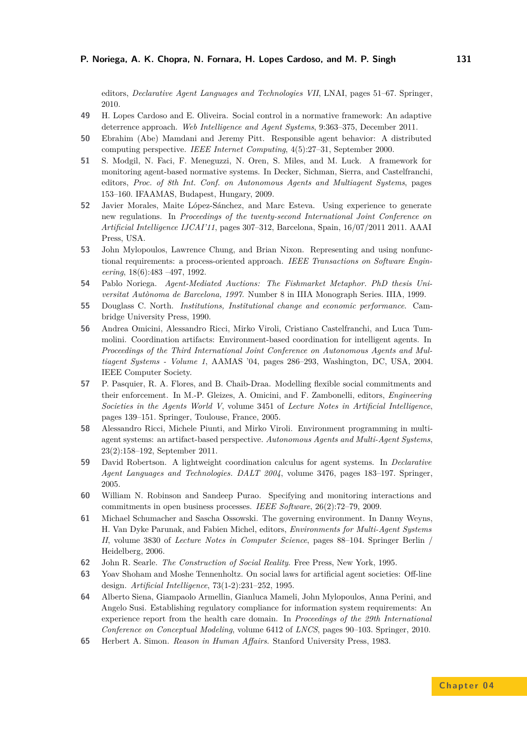editors, *Declarative Agent Languages and Technologies VII*, LNAI, pages 51–67. Springer, 2010.

- <span id="page-38-5"></span>**49** H. Lopes Cardoso and E. Oliveira. Social control in a normative framework: An adaptive deterrence approach. *Web Intelligence and Agent Systems*, 9:363–375, December 2011.
- <span id="page-38-1"></span>**50** Ebrahim (Abe) Mamdani and Jeremy Pitt. Responsible agent behavior: A distributed computing perspective. *IEEE Internet Computing*, 4(5):27–31, September 2000.
- <span id="page-38-13"></span>**51** S. Modgil, N. Faci, F. Meneguzzi, N. Oren, S. Miles, and M. Luck. A framework for monitoring agent-based normative systems. In Decker, Sichman, Sierra, and Castelfranchi, editors, *Proc. of 8th Int. Conf. on Autonomous Agents and Multiagent Systems*, pages 153–160. IFAAMAS, Budapest, Hungary, 2009.
- <span id="page-38-10"></span>**52** Javier Morales, Maite López-Sánchez, and Marc Esteva. Using experience to generate new regulations. In *Proceedings of the twenty-second International Joint Conference on Artificial Intelligence IJCAI'11*, pages 307–312, Barcelona, Spain, 16/07/2011 2011. AAAI Press, USA.
- <span id="page-38-6"></span>**53** John Mylopoulos, Lawrence Chung, and Brian Nixon. Representing and using nonfunctional requirements: a process-oriented approach. *IEEE Transactions on Software Engineering*, 18(6):483 –497, 1992.
- <span id="page-38-0"></span>**54** Pablo Noriega. *Agent-Mediated Auctions: The Fishmarket Metaphor. PhD thesis Universitat Autònoma de Barcelona, 1997*. Number 8 in IIIA Monograph Series. IIIA, 1999.
- <span id="page-38-2"></span>**55** Douglass C. North. *Institutions, Institutional change and economic performance*. Cambridge University Press, 1990.
- <span id="page-38-16"></span>**56** Andrea Omicini, Alessandro Ricci, Mirko Viroli, Cristiano Castelfranchi, and Luca Tummolini. Coordination artifacts: Environment-based coordination for intelligent agents. In *Proceedings of the Third International Joint Conference on Autonomous Agents and Multiagent Systems - Volume 1*, AAMAS '04, pages 286–293, Washington, DC, USA, 2004. IEEE Computer Society.
- <span id="page-38-14"></span>**57** P. Pasquier, R. A. Flores, and B. Chaib-Draa. Modelling flexible social commitments and their enforcement. In M.-P. Gleizes, A. Omicini, and F. Zambonelli, editors, *Engineering Societies in the Agents World V*, volume 3451 of *Lecture Notes in Artificial Intelligence*, pages 139–151. Springer, Toulouse, France, 2005.
- <span id="page-38-12"></span>**58** Alessandro Ricci, Michele Piunti, and Mirko Viroli. Environment programming in multiagent systems: an artifact-based perspective. *Autonomous Agents and Multi-Agent Systems*, 23(2):158–192, September 2011.
- <span id="page-38-11"></span>**59** David Robertson. A lightweight coordination calculus for agent systems. In *Declarative Agent Languages and Technologies. DALT 2004*, volume 3476, pages 183–197. Springer, 2005.
- <span id="page-38-8"></span>**60** William N. Robinson and Sandeep Purao. Specifying and monitoring interactions and commitments in open business processes. *IEEE Software*, 26(2):72–79, 2009.
- <span id="page-38-15"></span>**61** Michael Schumacher and Sascha Ossowski. The governing environment. In Danny Weyns, H. Van Dyke Parunak, and Fabien Michel, editors, *Environments for Multi-Agent Systems II*, volume 3830 of *Lecture Notes in Computer Science*, pages 88–104. Springer Berlin / Heidelberg, 2006.
- <span id="page-38-3"></span>**62** John R. Searle. *The Construction of Social Reality*. Free Press, New York, 1995.
- <span id="page-38-7"></span>**63** Yoav Shoham and Moshe Tennenholtz. On social laws for artificial agent societies: Off-line design. *Artificial Intelligence*, 73(1-2):231–252, 1995.
- <span id="page-38-9"></span>**64** Alberto Siena, Giampaolo Armellin, Gianluca Mameli, John Mylopoulos, Anna Perini, and Angelo Susi. Establishing regulatory compliance for information system requirements: An experience report from the health care domain. In *Proceedings of the 29th International Conference on Conceptual Modeling*, volume 6412 of *LNCS*, pages 90–103. Springer, 2010.
- <span id="page-38-4"></span>**65** Herbert A. Simon. *Reason in Human Affairs*. Stanford University Press, 1983.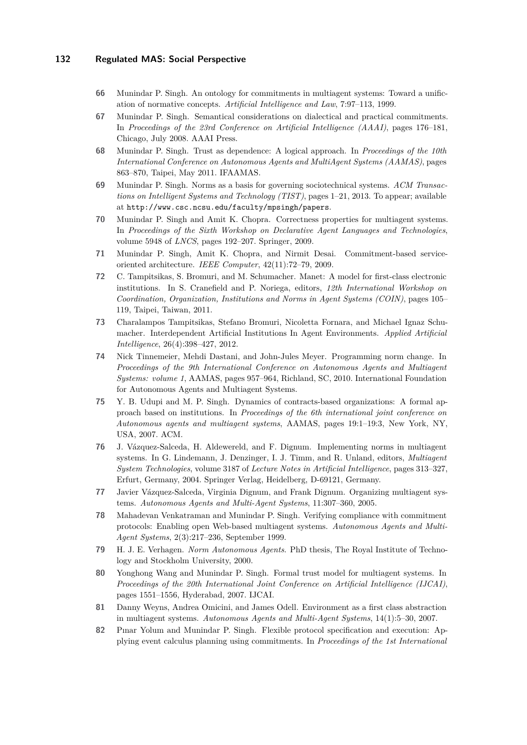- <span id="page-39-9"></span>**66** Munindar P. Singh. An ontology for commitments in multiagent systems: Toward a unification of normative concepts. *Artificial Intelligence and Law*, 7:97–113, 1999.
- <span id="page-39-15"></span>**67** Munindar P. Singh. Semantical considerations on dialectical and practical commitments. In *Proceedings of the 23rd Conference on Artificial Intelligence (AAAI)*, pages 176–181, Chicago, July 2008. AAAI Press.
- <span id="page-39-16"></span>**68** Munindar P. Singh. Trust as dependence: A logical approach. In *Proceedings of the 10th International Conference on Autonomous Agents and MultiAgent Systems (AAMAS)*, pages 863–870, Taipei, May 2011. IFAAMAS.
- <span id="page-39-0"></span>**69** Munindar P. Singh. Norms as a basis for governing sociotechnical systems. *ACM Transactions on Intelligent Systems and Technology (TIST)*, pages 1–21, 2013. To appear; available at <http://www.csc.ncsu.edu/faculty/mpsingh/papers>.
- <span id="page-39-8"></span>**70** Munindar P. Singh and Amit K. Chopra. Correctness properties for multiagent systems. In *Proceedings of the Sixth Workshop on Declarative Agent Languages and Technologies*, volume 5948 of *LNCS*, pages 192–207. Springer, 2009.
- <span id="page-39-10"></span>**71** Munindar P. Singh, Amit K. Chopra, and Nirmit Desai. Commitment-based serviceoriented architecture. *IEEE Computer*, 42(11):72–79, 2009.
- <span id="page-39-13"></span>**72** C. Tampitsikas, S. Bromuri, and M. Schumacher. Manet: A model for first-class electronic institutions. In S. Cranefield and P. Noriega, editors, *12th International Workshop on Coordination, Organization, Institutions and Norms in Agent Systems (COIN)*, pages 105– 119, Taipei, Taiwan, 2011.
- <span id="page-39-1"></span>**73** Charalampos Tampitsikas, Stefano Bromuri, Nicoletta Fornara, and Michael Ignaz Schumacher. Interdependent Artificial Institutions In Agent Environments. *Applied Artificial Intelligence*, 26(4):398–427, 2012.
- <span id="page-39-4"></span>**74** Nick Tinnemeier, Mehdi Dastani, and John-Jules Meyer. Programming norm change. In *Proceedings of the 9th International Conference on Autonomous Agents and Multiagent Systems: volume 1*, AAMAS, pages 957–964, Richland, SC, 2010. International Foundation for Autonomous Agents and Multiagent Systems.
- <span id="page-39-3"></span>**75** Y. B. Udupi and M. P. Singh. Dynamics of contracts-based organizations: A formal approach based on institutions. In *Proceedings of the 6th international joint conference on Autonomous agents and multiagent systems*, AAMAS, pages 19:1–19:3, New York, NY, USA, 2007. ACM.
- <span id="page-39-2"></span>**76** J. Vázquez-Salceda, H. Aldewereld, and F. Dignum. Implementing norms in multiagent systems. In G. Lindemann, J. Denzinger, I. J. Timm, and R. Unland, editors, *Multiagent System Technologies*, volume 3187 of *Lecture Notes in Artificial Intelligence*, pages 313–327, Erfurt, Germany, 2004. Springer Verlag, Heidelberg, D-69121, Germany.
- <span id="page-39-5"></span>**77** Javier Vázquez-Salceda, Virginia Dignum, and Frank Dignum. Organizing multiagent systems. *Autonomous Agents and Multi-Agent Systems*, 11:307–360, 2005.
- <span id="page-39-7"></span>**78** Mahadevan Venkatraman and Munindar P. Singh. Verifying compliance with commitment protocols: Enabling open Web-based multiagent systems. *Autonomous Agents and Multi-Agent Systems*, 2(3):217–236, September 1999.
- <span id="page-39-12"></span>**79** H. J. E. Verhagen. *Norm Autonomous Agents*. PhD thesis, The Royal Institute of Technology and Stockholm University, 2000.
- <span id="page-39-14"></span>**80** Yonghong Wang and Munindar P. Singh. Formal trust model for multiagent systems. In *Proceedings of the 20th International Joint Conference on Artificial Intelligence (IJCAI)*, pages 1551–1556, Hyderabad, 2007. IJCAI.
- <span id="page-39-11"></span>**81** Danny Weyns, Andrea Omicini, and James Odell. Environment as a first class abstraction in multiagent systems. *Autonomous Agents and Multi-Agent Systems*, 14(1):5–30, 2007.
- <span id="page-39-6"></span>**82** Pınar Yolum and Munindar P. Singh. Flexible protocol specification and execution: Applying event calculus planning using commitments. In *Proceedings of the 1st International*